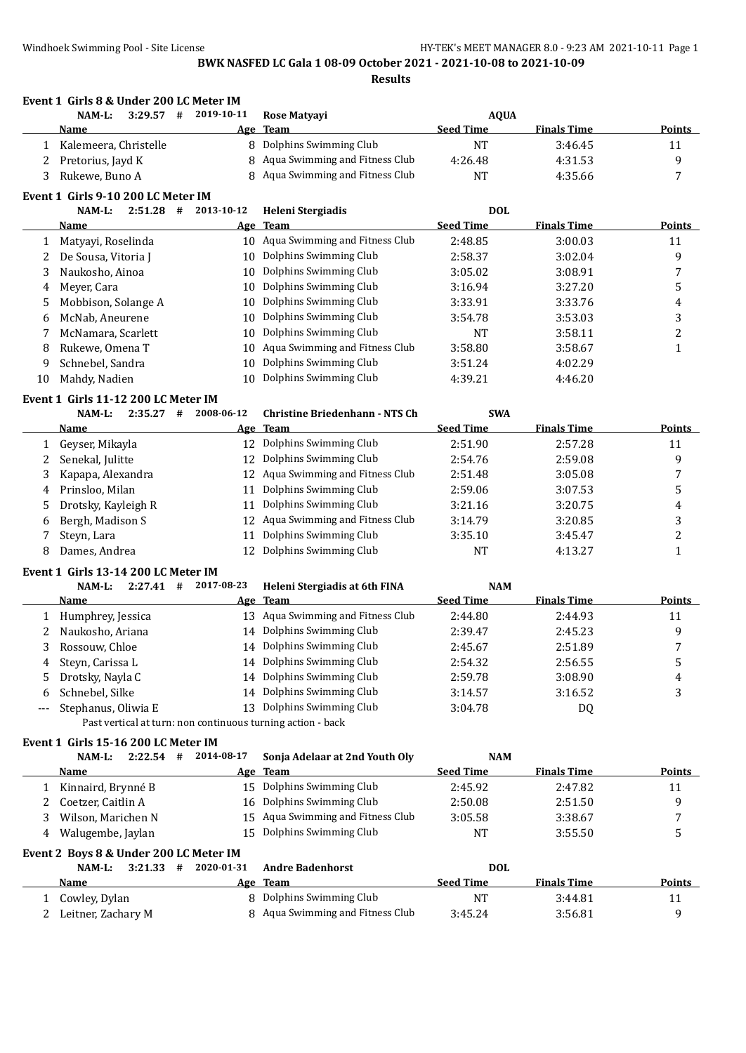|     |                                                             |            | BWK NASFED LC Gala 1 08-09 October 2021 - 2021-10-08 to 2021-10-09<br><b>Results</b> |                  |                    |                |
|-----|-------------------------------------------------------------|------------|--------------------------------------------------------------------------------------|------------------|--------------------|----------------|
|     | Event 1 Girls 8 & Under 200 LC Meter IM                     |            |                                                                                      |                  |                    |                |
|     | NAM-L:<br>$3:29.57$ #                                       | 2019-10-11 | Rose Matyayi                                                                         | <b>AQUA</b>      |                    |                |
|     | Name                                                        |            | Age Team                                                                             | <b>Seed Time</b> | <b>Finals Time</b> | <b>Points</b>  |
| 1   | Kalemeera, Christelle                                       |            | 8 Dolphins Swimming Club                                                             | NT               | 3:46.45            | 11             |
| 2   | Pretorius, Jayd K                                           | 8          | Aqua Swimming and Fitness Club                                                       | 4:26.48          | 4:31.53            | 9              |
| 3   | Rukewe, Buno A                                              | 8          | Aqua Swimming and Fitness Club                                                       | <b>NT</b>        | 4:35.66            | 7              |
|     | Event 1 Girls 9-10 200 LC Meter IM                          |            |                                                                                      |                  |                    |                |
|     | NAM-L:<br>$2:51.28$ #                                       | 2013-10-12 | Heleni Stergiadis                                                                    | <b>DOL</b>       |                    |                |
|     | Name                                                        |            | Age Team                                                                             | <b>Seed Time</b> | <b>Finals Time</b> | Points         |
| 1   | Matyayi, Roselinda                                          |            | 10 Aqua Swimming and Fitness Club                                                    | 2:48.85          | 3:00.03            | 11             |
| 2   | De Sousa, Vitoria J                                         | 10         | Dolphins Swimming Club                                                               | 2:58.37          | 3:02.04            | 9              |
| 3   | Naukosho, Ainoa                                             | 10         | Dolphins Swimming Club                                                               | 3:05.02          | 3:08.91            | 7              |
| 4   | Meyer, Cara                                                 | 10         | Dolphins Swimming Club                                                               | 3:16.94          | 3:27.20            | 5              |
| 5   | Mobbison, Solange A                                         | 10         | Dolphins Swimming Club                                                               | 3:33.91          | 3:33.76            | 4              |
| 6   | McNab, Aneurene                                             | 10         | Dolphins Swimming Club                                                               | 3:54.78          | 3:53.03            | 3              |
| 7   | McNamara, Scarlett                                          | 10         | Dolphins Swimming Club                                                               | NT               | 3:58.11            | $\overline{c}$ |
| 8   | Rukewe, Omena T                                             | 10         | Aqua Swimming and Fitness Club                                                       | 3:58.80          | 3:58.67            | $\mathbf{1}$   |
| 9   | Schnebel, Sandra                                            | 10         | Dolphins Swimming Club                                                               | 3:51.24          | 4:02.29            |                |
| 10  | Mahdy, Nadien                                               | 10         | Dolphins Swimming Club                                                               | 4:39.21          | 4:46.20            |                |
|     | Event 1 Girls 11-12 200 LC Meter IM                         |            |                                                                                      |                  |                    |                |
|     | NAM-L:<br>$2:35.27$ #                                       | 2008-06-12 | <b>Christine Briedenhann - NTS Ch</b>                                                | <b>SWA</b>       |                    |                |
|     | Name                                                        |            | Age Team                                                                             | <b>Seed Time</b> | <b>Finals Time</b> | Points         |
| 1   | Geyser, Mikayla                                             | 12         | Dolphins Swimming Club                                                               | 2:51.90          | 2:57.28            | 11             |
| 2   | Senekal, Julitte                                            | 12         | Dolphins Swimming Club                                                               | 2:54.76          | 2:59.08            | 9              |
| 3   | Kapapa, Alexandra                                           | 12         | Aqua Swimming and Fitness Club                                                       | 2:51.48          | 3:05.08            | 7              |
| 4   | Prinsloo, Milan                                             | 11         | Dolphins Swimming Club                                                               | 2:59.06          | 3:07.53            | 5              |
| 5   | Drotsky, Kayleigh R                                         | 11         | Dolphins Swimming Club                                                               | 3:21.16          | 3:20.75            | 4              |
| 6   | Bergh, Madison S                                            | 12         | Aqua Swimming and Fitness Club                                                       | 3:14.79          | 3:20.85            | 3              |
| 7   | Steyn, Lara                                                 | 11         | Dolphins Swimming Club                                                               | 3:35.10          | 3:45.47            | $\overline{c}$ |
| 8   | Dames, Andrea                                               | 12         | Dolphins Swimming Club                                                               | <b>NT</b>        | 4:13.27            | $\mathbf{1}$   |
|     | Event 1 Girls 13-14 200 LC Meter IM                         |            |                                                                                      |                  |                    |                |
|     | NAM-L:<br>$2:27.41$ #                                       | 2017-08-23 | Heleni Stergiadis at 6th FINA                                                        | <b>NAM</b>       |                    |                |
|     | Name                                                        |            | Age Team                                                                             | <b>Seed Time</b> | <b>Finals Time</b> | Points         |
|     | 1 Humphrey, Jessica                                         |            | 13 Aqua Swimming and Fitness Club                                                    | 2:44.80          | 2:44.93            | 11             |
| 2   | Naukosho, Ariana                                            |            | 14 Dolphins Swimming Club                                                            | 2:39.47          | 2:45.23            | 9              |
| 3   | Rossouw, Chloe                                              |            | 14 Dolphins Swimming Club                                                            | 2:45.67          | 2:51.89            | 7              |
| 4   | Steyn, Carissa L                                            |            | 14 Dolphins Swimming Club                                                            | 2:54.32          | 2:56.55            | 5              |
| 5   | Drotsky, Nayla C                                            |            | 14 Dolphins Swimming Club                                                            | 2:59.78          | 3:08.90            | 4              |
| 6   | Schnebel, Silke                                             |            | 14 Dolphins Swimming Club                                                            | 3:14.57          | 3:16.52            | 3              |
| --- | Stephanus, Oliwia E                                         |            | 13 Dolphins Swimming Club                                                            | 3:04.78          | DQ                 |                |
|     | Past vertical at turn: non continuous turning action - back |            |                                                                                      |                  |                    |                |

**Event 1 Girls 15-16 200 LC Meter IM**

|   | NAM-L:                                 | 2:22.54 |   | 2014-08-17 | Sonja Adelaar at 2nd Youth Oly    | <b>NAM</b>       |                    |        |
|---|----------------------------------------|---------|---|------------|-----------------------------------|------------------|--------------------|--------|
|   | <b>Name</b>                            |         |   |            | Age Team                          | <b>Seed Time</b> | <b>Finals Time</b> | Points |
|   | Kinnaird, Brynné B                     |         |   |            | 15 Dolphins Swimming Club         | 2:45.92          | 2:47.82            | 11     |
|   | 2 Coetzer, Caitlin A                   |         |   |            | 16 Dolphins Swimming Club         | 2:50.08          | 2:51.50            | 9      |
|   | Wilson, Marichen N                     |         |   |            | 15 Agua Swimming and Fitness Club | 3:05.58          | 3:38.67            | 7      |
| 4 | Walugembe, Jaylan                      |         |   |            | 15 Dolphins Swimming Club         | NT               | 3:55.50            | 5      |
|   | Event 2 Boys 8 & Under 200 LC Meter IM |         |   |            |                                   |                  |                    |        |
|   | NAM-L:                                 | 3:21.33 | # | 2020-01-31 | <b>Andre Badenhorst</b>           | <b>DOL</b>       |                    |        |
|   | <b>Name</b>                            |         |   |            | Age Team                          | <b>Seed Time</b> | <b>Finals Time</b> | Points |
|   | Cowley, Dylan                          |         |   |            | 8 Dolphins Swimming Club          | NT               | 3:44.81            | 11     |
|   | Leitner, Zachary M                     |         |   |            | 8 Aqua Swimming and Fitness Club  | 3:45.24          | 3:56.81            | 9      |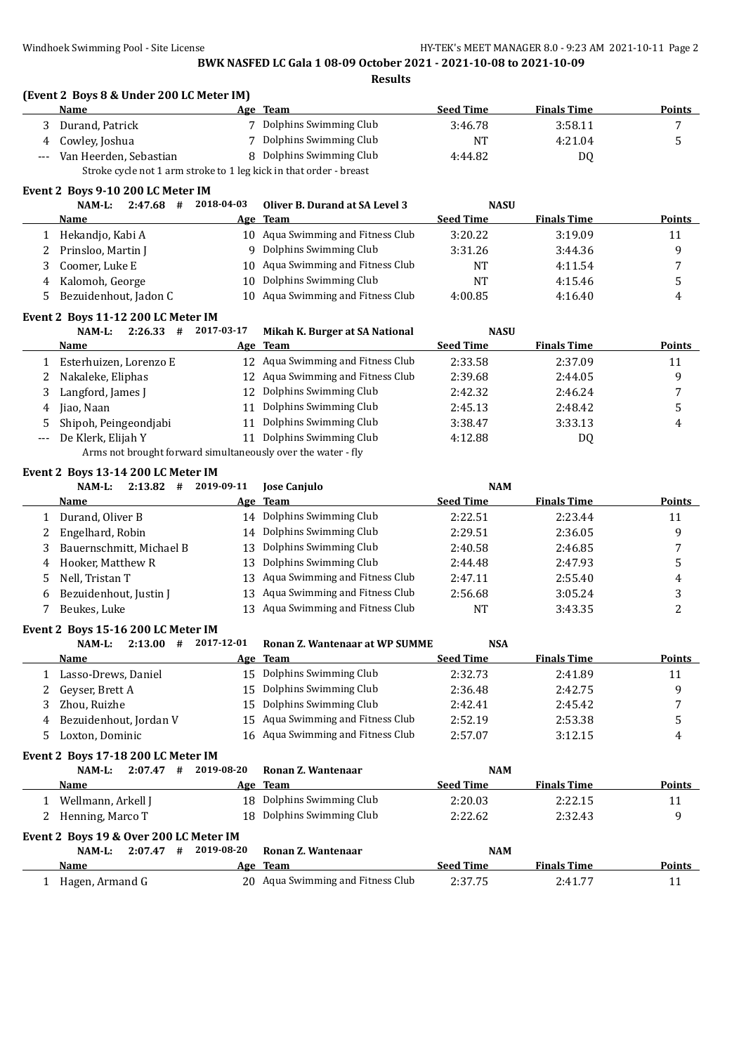**Results**

### **(Event 2 Boys 8 & Under 200 LC Meter IM)**

|       | Name                                                               | Age Team                 | <b>Seed Time</b> | <b>Finals Time</b> | Points |  |  |  |  |
|-------|--------------------------------------------------------------------|--------------------------|------------------|--------------------|--------|--|--|--|--|
|       | Durand, Patrick                                                    | Dolphins Swimming Club   | 3:46.78          | 3:58.11            |        |  |  |  |  |
|       | 4 Cowley, Joshua                                                   | 7 Dolphins Swimming Club | NT               | 4:21.04            |        |  |  |  |  |
| $---$ | Van Heerden, Sebastian                                             | 8 Dolphins Swimming Club | 4:44.82          | DO                 |        |  |  |  |  |
|       | Stroke cycle not 1 arm stroke to 1 leg kick in that order - breast |                          |                  |                    |        |  |  |  |  |

#### **Event 2 Boys 9-10 200 LC Meter IM**

| 2:47.68<br>NAM-L:<br>#  | 2018-04-03 | Oliver B. Durand at SA Level 3    | <b>NASU</b>      |                    |               |
|-------------------------|------------|-----------------------------------|------------------|--------------------|---------------|
| Name                    |            | Age Team                          | <b>Seed Time</b> | <b>Finals Time</b> | <b>Points</b> |
| Hekandjo, Kabi A        |            | 10 Aqua Swimming and Fitness Club | 3:20.22          | 3:19.09            | 11            |
| 2 Prinsloo, Martin J    | 9          | Dolphins Swimming Club            | 3:31.26          | 3:44.36            | q             |
| 3 Coomer, Luke E        |            | 10 Aqua Swimming and Fitness Club | <b>NT</b>        | 4:11.54            |               |
| 4 Kalomoh, George       | 10.        | Dolphins Swimming Club            | <b>NT</b>        | 4:15.46            |               |
| 5 Bezuidenhout, Jadon C |            | 10 Aqua Swimming and Fitness Club | 4:00.85          | 4:16.40            | 4             |

### **Event 2 Boys 11-12 200 LC Meter IM**

|   | 2:26.33<br>NAM-L:<br>#  | 2017-03-17 | Mikah K. Burger at SA National                            | <b>NASU</b>      |                    |               |
|---|-------------------------|------------|-----------------------------------------------------------|------------------|--------------------|---------------|
|   | Name                    |            | Age Team                                                  | <b>Seed Time</b> | <b>Finals Time</b> | <b>Points</b> |
|   | Esterhuizen, Lorenzo E  |            | 12 Agua Swimming and Fitness Club                         | 2:33.58          | 2:37.09            | 11            |
| 2 | Nakaleke, Eliphas       |            | 12 Aqua Swimming and Fitness Club                         | 2:39.68          | 2:44.05            | q             |
|   | Langford, James J       |            | 12 Dolphins Swimming Club                                 | 2:42.32          | 2:46.24            |               |
| 4 | Jiao, Naan              | 11         | Dolphins Swimming Club                                    | 2:45.13          | 2:48.42            | כ             |
|   | 5 Shipoh, Peingeondiabi | 11         | Dolphins Swimming Club                                    | 3:38.47          | 3:33.13            | 4             |
|   | De Klerk, Elijah Y      | 11         | Dolphins Swimming Club                                    | 4:12.88          | DQ                 |               |
|   |                         |            | Arma not brought forward gimultanoough over the water fly |                  |                    |               |

Arms not brought forward simultaneously over the water - fly

#### **Event 2 Boys 13-14 200 LC Meter IM**

|    | 2:13.82<br>NAM-L:<br>#   | 2019-09-11 | <b>Jose Canjulo</b>               | <b>NAM</b>       |                    |               |
|----|--------------------------|------------|-----------------------------------|------------------|--------------------|---------------|
|    | Name                     |            | Age Team                          | <b>Seed Time</b> | <b>Finals Time</b> | <b>Points</b> |
|    | Durand, Oliver B         |            | 14 Dolphins Swimming Club         | 2:22.51          | 2:23.44            | 11            |
| 2  | Engelhard, Robin         |            | 14 Dolphins Swimming Club         | 2:29.51          | 2:36.05            | a             |
| 3  | Bauernschmitt, Michael B |            | 13 Dolphins Swimming Club         | 2:40.58          | 2:46.85            |               |
| 4  | Hooker, Matthew R        |            | 13 Dolphins Swimming Club         | 2:44.48          | 2:47.93            |               |
| 5. | Nell, Tristan T          |            | 13 Aqua Swimming and Fitness Club | 2:47.11          | 2:55.40            | 4             |
| 6  | Bezuidenhout, Justin J   |            | 13 Aqua Swimming and Fitness Club | 2:56.68          | 3:05.24            |               |
|    | Beukes, Luke             |            | 13 Aqua Swimming and Fitness Club | <b>NT</b>        | 3:43.35            |               |

#### **Event 2 Boys 15-16 200 LC Meter IM**

| 2:13.00<br>NAM-L:<br>#   | 2017-12-01 | <b>Ronan Z. Wantenaar at WP SUMME</b> | <b>NSA</b>       |                    |        |
|--------------------------|------------|---------------------------------------|------------------|--------------------|--------|
| <b>Name</b>              |            | Age Team                              | <b>Seed Time</b> | <b>Finals Time</b> | Points |
| 1 Lasso-Drews, Daniel    |            | 15 Dolphins Swimming Club             | 2:32.73          | 2:41.89            | 11     |
| 2 Gevser, Brett A        |            | 15 Dolphins Swimming Club             | 2:36.48          | 2:42.75            |        |
| 3 - Zhou. Ruizhe -       |            | 15 Dolphins Swimming Club             | 2:42.41          | 2:45.42            | 7      |
| 4 Bezuidenhout, Jordan V |            | 15 Aqua Swimming and Fitness Club     | 2:52.19          | 2:53.38            |        |
| 5 Loxton, Dominic        |            | 16 Aqua Swimming and Fitness Club     | 2:57.07          | 3:12.15            |        |

#### **Event 2 Boys 17-18 200 LC Meter IM**

| NAM-L:<br>2:07.47                      | # | 2019-08-20 | Ronan Z. Wantenaar        | <b>NAM</b>       |                    |               |  |  |
|----------------------------------------|---|------------|---------------------------|------------------|--------------------|---------------|--|--|
| Name                                   |   |            | Age Team                  | <b>Seed Time</b> | <b>Finals Time</b> | <b>Points</b> |  |  |
| Wellmann, Arkell J                     |   |            | 18 Dolphins Swimming Club | 2:20.03          | 2:22.15            | 11            |  |  |
| 2 Henning, Marco T                     |   |            | 18 Dolphins Swimming Club | 2:22.62          | 2:32.43            | q             |  |  |
| Event 2 Boys 19 & Over 200 LC Meter IM |   |            |                           |                  |                    |               |  |  |
| 2:07.47<br>NAM-L:                      | # | 2019-08-20 | Ronan Z. Wantenaar        | <b>NAM</b>       |                    |               |  |  |
| Name                                   |   | Age        | <b>Team</b>               | <b>Seed Time</b> | <b>Finals Time</b> | <b>Points</b> |  |  |

1 Hagen, Armand G 20 Aqua Swimming and Fitness Club 2:37.75 2:41.77 11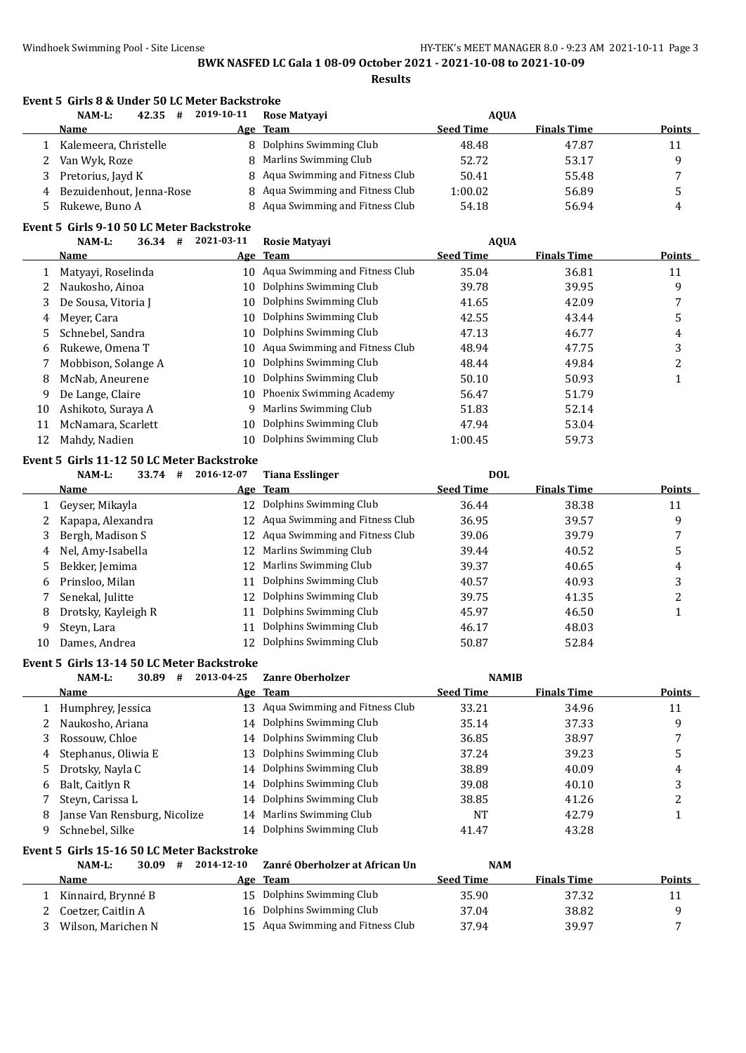|              | NAM-L:<br>42.35<br>#                       | 2019-10-11 | Rose Matyayi                                     | <b>AQUA</b>      |                    |                |
|--------------|--------------------------------------------|------------|--------------------------------------------------|------------------|--------------------|----------------|
|              | Name                                       | <u>Age</u> | <b>Team</b>                                      | <b>Seed Time</b> | <b>Finals Time</b> | <b>Points</b>  |
| $\mathbf{1}$ | Kalemeera, Christelle                      |            | 8 Dolphins Swimming Club                         | 48.48            | 47.87              | 11             |
| 2            | Van Wyk, Roze                              | 8          | Marlins Swimming Club                            | 52.72            | 53.17              | 9              |
| 3            | Pretorius, Jayd K                          | 8          | Aqua Swimming and Fitness Club                   | 50.41            | 55.48              | 7              |
| 4            | Bezuidenhout, Jenna-Rose                   | 8          | Aqua Swimming and Fitness Club                   | 1:00.02          | 56.89              | 5              |
| 5            | Rukewe, Buno A                             | 8          | Aqua Swimming and Fitness Club                   | 54.18            | 56.94              | 4              |
|              | Event 5 Girls 9-10 50 LC Meter Backstroke  |            |                                                  |                  |                    |                |
|              | NAM-L:<br>36.34 #                          | 2021-03-11 | Rosie Matyayi                                    | <b>AQUA</b>      |                    |                |
|              | Name                                       | <u>Age</u> | <b>Team</b>                                      | <b>Seed Time</b> | <b>Finals Time</b> | <b>Points</b>  |
| 1            | Matyayi, Roselinda                         |            | 10 Aqua Swimming and Fitness Club                | 35.04            | 36.81              | 11             |
| 2            | Naukosho, Ainoa                            | 10         | Dolphins Swimming Club                           | 39.78            | 39.95              | 9              |
| 3            | De Sousa, Vitoria J                        | 10         | Dolphins Swimming Club                           | 41.65            | 42.09              | 7              |
| 4            | Meyer, Cara                                | 10         | Dolphins Swimming Club                           | 42.55            | 43.44              | 5              |
| 5            | Schnebel, Sandra                           | 10         | Dolphins Swimming Club                           | 47.13            | 46.77              | 4              |
| 6            | Rukewe, Omena T                            | 10         | Aqua Swimming and Fitness Club                   | 48.94            | 47.75              | 3              |
| 7            | Mobbison, Solange A                        | 10         | Dolphins Swimming Club                           | 48.44            | 49.84              | $\overline{c}$ |
| 8            | McNab, Aneurene                            | 10         | Dolphins Swimming Club                           | 50.10            | 50.93              | $\mathbf{1}$   |
| 9            | De Lange, Claire                           | 10         | Phoenix Swimming Academy                         | 56.47            | 51.79              |                |
| 10           | Ashikoto, Suraya A                         | 9          | Marlins Swimming Club                            | 51.83            | 52.14              |                |
| 11           | McNamara, Scarlett                         | 10         | Dolphins Swimming Club                           | 47.94            | 53.04              |                |
| 12           | Mahdy, Nadien                              | 10         | Dolphins Swimming Club                           | 1:00.45          | 59.73              |                |
|              | Event 5 Girls 11-12 50 LC Meter Backstroke |            |                                                  |                  |                    |                |
|              | NAM-L:<br>33.74 #                          | 2016-12-07 | <b>Tiana Esslinger</b>                           | <b>DOL</b>       |                    |                |
|              | Name                                       | Age        | <b>Team</b>                                      | <b>Seed Time</b> | <b>Finals Time</b> | Points         |
|              | Geyser, Mikayla                            | 12         | Dolphins Swimming Club                           | 36.44            | 38.38              | 11             |
| 1            |                                            |            | Aqua Swimming and Fitness Club                   | 36.95            | 39.57              | 9              |
| 2            | Kapapa, Alexandra                          | 12         | Aqua Swimming and Fitness Club                   |                  |                    |                |
| 3            | Bergh, Madison S                           | 12         | Marlins Swimming Club                            | 39.06            | 39.79              | 7              |
| 4            | Nel, Amy-Isabella                          | 12         | Marlins Swimming Club                            | 39.44            | 40.52              | 5              |
| 5            | Bekker, Jemima                             | 12         |                                                  | 39.37            | 40.65              | 4              |
| 6            | Prinsloo, Milan                            | 11         | Dolphins Swimming Club                           | 40.57            | 40.93              | 3              |
| 7            | Senekal, Julitte                           | 12         | Dolphins Swimming Club                           | 39.75            | 41.35              | $\overline{c}$ |
| 8            | Drotsky, Kayleigh R                        | 11         | Dolphins Swimming Club                           | 45.97            | 46.50              | $\mathbf{1}$   |
| 9            | Steyn, Lara                                | 11         | Dolphins Swimming Club<br>Dolphins Swimming Club | 46.17            | 48.03              |                |
| 10           | Dames, Andrea                              | 12         |                                                  | 50.87            | 52.84              |                |
|              | Event 5 Girls 13-14 50 LC Meter Backstroke |            |                                                  |                  |                    |                |
|              | NAM-L:<br>30.89<br>#                       | 2013-04-25 | Zanre Oberholzer                                 | <b>NAMIB</b>     |                    |                |
|              | <b>Name</b>                                | Age        | <b>Team</b>                                      | <b>Seed Time</b> | <b>Finals Time</b> | <b>Points</b>  |
| 1            | Humphrey, Jessica                          |            | 13 Aqua Swimming and Fitness Club                | 33.21            | 34.96              | 11             |
| 2            | Naukosho, Ariana                           | 14         | Dolphins Swimming Club                           | 35.14            | 37.33              | 9              |
| 3            | Rossouw, Chloe                             | 14         | Dolphins Swimming Club                           | 36.85            | 38.97              | 7              |
| 4            | Stephanus, Oliwia E                        | 13         | Dolphins Swimming Club                           | 37.24            | 39.23              | 5              |
| 5            | Drotsky, Nayla C                           | 14         | Dolphins Swimming Club                           | 38.89            | 40.09              | 4              |
| 6            | Balt, Caitlyn R                            | 14         | Dolphins Swimming Club                           | 39.08            | 40.10              | 3              |
| 7            | Steyn, Carissa L                           | 14         | Dolphins Swimming Club                           | 38.85            | 41.26              | $\overline{c}$ |
| 8            | Janse Van Rensburg, Nicolize               | 14         | Marlins Swimming Club                            | <b>NT</b>        | 42.79              | $\mathbf{1}$   |
| 9            | Schnebel, Silke                            |            | 14 Dolphins Swimming Club                        | 41.47            | 43.28              |                |
|              | Event 5 Girls 15-16 50 LC Meter Backstroke |            |                                                  |                  |                    |                |
|              | NAM-L:<br>30.09<br>#                       | 2014-12-10 | Zanré Oberholzer at African Un                   | <b>NAM</b>       |                    |                |
|              | Name                                       |            | Age Team                                         | <b>Seed Time</b> | <b>Finals Time</b> | <b>Points</b>  |
|              | Kinnaird, Brynné B                         | 15         | Dolphins Swimming Club                           | 35.90            | 37.32              | 11             |
| 1            |                                            |            |                                                  |                  |                    |                |
| 2            | Coetzer, Caitlin A                         | 16         | Dolphins Swimming Club                           | 37.04            | 38.82              | 9              |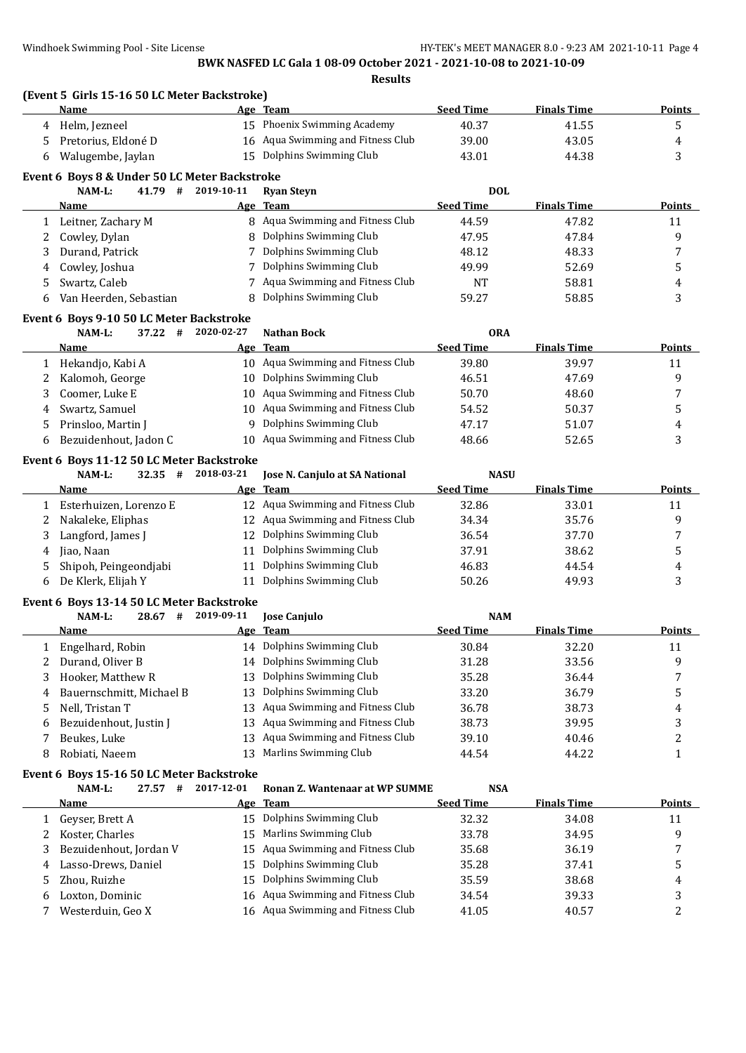|              | (Event 5 Girls 15-16 50 LC Meter Backstroke)<br>Name |            | Age Team                                                 | <b>Seed Time</b> | <b>Finals Time</b> | <b>Points</b>           |
|--------------|------------------------------------------------------|------------|----------------------------------------------------------|------------------|--------------------|-------------------------|
| 4            | Helm, Jezneel                                        |            | 15 Phoenix Swimming Academy                              | 40.37            | 41.55              | 5                       |
| 5            | Pretorius, Eldoné D                                  |            | 16 Aqua Swimming and Fitness Club                        | 39.00            | 43.05              | 4                       |
| 6            | Walugembe, Jaylan                                    |            | 15 Dolphins Swimming Club                                | 43.01            | 44.38              | 3                       |
|              | Event 6 Boys 8 & Under 50 LC Meter Backstroke        |            |                                                          |                  |                    |                         |
|              | 41.79 #<br>NAM-L:                                    | 2019-10-11 | <b>Ryan Steyn</b>                                        | <b>DOL</b>       |                    |                         |
|              | Name                                                 |            | Age Team                                                 | <b>Seed Time</b> | <b>Finals Time</b> | <b>Points</b>           |
| $\mathbf{1}$ | Leitner, Zachary M                                   |            | 8 Aqua Swimming and Fitness Club                         | 44.59            | 47.82              | 11                      |
| 2            | Cowley, Dylan                                        | 8          | Dolphins Swimming Club                                   | 47.95            | 47.84              | 9                       |
| 3            | Durand, Patrick                                      | 7          | Dolphins Swimming Club                                   | 48.12            | 48.33              | 7                       |
| 4            | Cowley, Joshua                                       | 7          | Dolphins Swimming Club                                   | 49.99            | 52.69              | 5                       |
| 5            | Swartz, Caleb                                        | 7          | Aqua Swimming and Fitness Club                           | NT               | 58.81              | 4                       |
| 6            | Van Heerden, Sebastian                               |            | Dolphins Swimming Club                                   | 59.27            | 58.85              | 3                       |
|              | Event 6 Boys 9-10 50 LC Meter Backstroke             |            |                                                          |                  |                    |                         |
|              | NAM-L:<br>37.22<br>#                                 | 2020-02-27 | <b>Nathan Bock</b>                                       | <b>ORA</b>       |                    |                         |
|              | Name                                                 |            | Age Team                                                 | <b>Seed Time</b> | <b>Finals Time</b> | <b>Points</b>           |
| $\mathbf{1}$ | Hekandjo, Kabi A                                     |            | 10 Aqua Swimming and Fitness Club                        | 39.80            | 39.97              | 11                      |
| 2            | Kalomoh, George                                      | 10         | Dolphins Swimming Club                                   | 46.51            | 47.69              | 9                       |
| 3            | Coomer, Luke E                                       | 10         | Aqua Swimming and Fitness Club                           | 50.70            | 48.60              | 7                       |
| 4            | Swartz, Samuel                                       | 10         | Aqua Swimming and Fitness Club                           | 54.52            | 50.37              | 5                       |
|              | Prinsloo, Martin J                                   | 9          | Dolphins Swimming Club                                   | 47.17            | 51.07              |                         |
| 5            | Bezuidenhout, Jadon C                                |            | 10 Aqua Swimming and Fitness Club                        | 48.66            | 52.65              | 4<br>3                  |
| 6            |                                                      |            |                                                          |                  |                    |                         |
|              | Event 6 Boys 11-12 50 LC Meter Backstroke            |            |                                                          |                  |                    |                         |
|              | NAM-L:<br>$32.35$ #                                  | 2018-03-21 | Jose N. Canjulo at SA National                           | <b>NASU</b>      |                    |                         |
|              | Name                                                 |            | Age Team                                                 | <b>Seed Time</b> | <b>Finals Time</b> | <b>Points</b>           |
| 1            | Esterhuizen, Lorenzo E                               |            | 12 Aqua Swimming and Fitness Club                        | 32.86            | 33.01              | 11                      |
| 2            | Nakaleke, Eliphas                                    |            | 12 Aqua Swimming and Fitness Club                        | 34.34            | 35.76              | 9                       |
| 3            | Langford, James J                                    | 12         | Dolphins Swimming Club                                   | 36.54            | 37.70              | 7                       |
| 4            | Jiao, Naan                                           | 11         | Dolphins Swimming Club                                   | 37.91            | 38.62              | 5                       |
| 5            | Shipoh, Peingeondjabi                                | 11         | Dolphins Swimming Club                                   | 46.83            | 44.54              | 4                       |
| 6            | De Klerk, Elijah Y                                   | 11         | Dolphins Swimming Club                                   | 50.26            | 49.93              | 3                       |
|              | Event 6 Boys 13-14 50 LC Meter Backstroke            |            |                                                          |                  |                    |                         |
|              | NAM-L:<br>$28.67$ #                                  | 2019-09-11 | Jose Canjulo                                             | <b>NAM</b>       |                    |                         |
|              | Name                                                 |            | Age Team                                                 | <b>Seed Time</b> | <b>Finals Time</b> | <b>Points</b>           |
|              | 1 Engelhard, Robin                                   |            | 14 Dolphins Swimming Club                                | 30.84            | 32.20              | 11                      |
|              | Durand, Oliver B                                     |            | 14 Dolphins Swimming Club                                | 31.28            | 33.56              | 9                       |
| 3            | Hooker, Matthew R                                    | 13         | Dolphins Swimming Club                                   | 35.28            | 36.44              | 7                       |
| 4            | Bauernschmitt, Michael B                             | 13         | Dolphins Swimming Club                                   | 33.20            | 36.79              | 5                       |
| 5            | Nell, Tristan T                                      | 13         | Aqua Swimming and Fitness Club                           | 36.78            | 38.73              | 4                       |
| 6            | Bezuidenhout, Justin J                               | 13         | Aqua Swimming and Fitness Club                           | 38.73            | 39.95              | 3                       |
| 7            | Beukes, Luke                                         | 13         | Aqua Swimming and Fitness Club                           | 39.10            | 40.46              | $\overline{\mathbf{c}}$ |
| 8            | Robiati, Naeem                                       | 13         | Marlins Swimming Club                                    | 44.54            | 44.22              | 1                       |
|              | Event 6 Boys 15-16 50 LC Meter Backstroke            |            |                                                          |                  |                    |                         |
|              | NAM-L:<br>27.57#                                     | 2017-12-01 | <b>Ronan Z. Wantenaar at WP SUMME</b>                    | <b>NSA</b>       |                    |                         |
|              | <u>Name</u>                                          |            | Age Team                                                 | <b>Seed Time</b> | <b>Finals Time</b> | <b>Points</b>           |
|              |                                                      |            | 15 Dolphins Swimming Club                                | 32.32            | 34.08              | 11                      |
| 1            |                                                      |            |                                                          |                  |                    |                         |
| 2            | Geyser, Brett A                                      | 15         |                                                          |                  |                    | 9                       |
|              | Koster, Charles                                      | 15         | Marlins Swimming Club                                    | 33.78            | 34.95              | 7                       |
| 3            | Bezuidenhout, Jordan V                               |            | Aqua Swimming and Fitness Club                           | 35.68            | 36.19              |                         |
| 4            | Lasso-Drews, Daniel                                  | 15         | Dolphins Swimming Club                                   | 35.28            | 37.41              | 5                       |
| 5<br>6       | Zhou, Ruizhe<br>Loxton, Dominic                      | 15<br>16   | Dolphins Swimming Club<br>Aqua Swimming and Fitness Club | 35.59<br>34.54   | 38.68<br>39.33     | 4<br>3                  |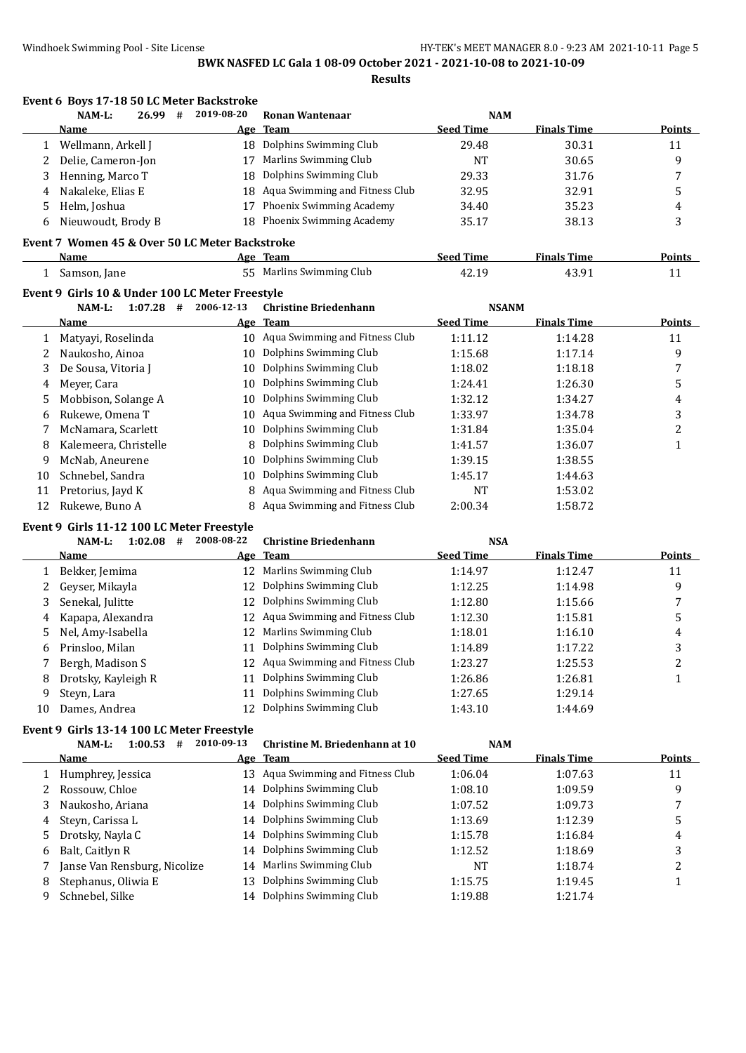**Event 6 Boys 17-18 50 LC Meter Backstroke**

|              | NAM-L:                                          | 26.99<br>#  | 2019-08-20 | <b>Ronan Wantenaar</b>            | <b>NAM</b>       |                    |                         |
|--------------|-------------------------------------------------|-------------|------------|-----------------------------------|------------------|--------------------|-------------------------|
|              | Name                                            |             |            | Age Team                          | <b>Seed Time</b> | <b>Finals Time</b> | <b>Points</b>           |
| 1            | Wellmann, Arkell J                              |             | 18         | Dolphins Swimming Club            | 29.48            | 30.31              | 11                      |
| 2            | Delie, Cameron-Jon                              |             | 17         | Marlins Swimming Club             | <b>NT</b>        | 30.65              | 9                       |
| 3            | Henning, Marco T                                |             | 18         | Dolphins Swimming Club            | 29.33            | 31.76              | $\overline{7}$          |
| 4            | Nakaleke, Elias E                               |             | 18         | Aqua Swimming and Fitness Club    | 32.95            | 32.91              | 5                       |
| 5            | Helm, Joshua                                    |             | 17         | Phoenix Swimming Academy          | 34.40            | 35.23              | 4                       |
| 6            | Nieuwoudt, Brody B                              |             | 18         | Phoenix Swimming Academy          | 35.17            | 38.13              | 3                       |
|              | Event 7 Women 45 & Over 50 LC Meter Backstroke  |             |            |                                   |                  |                    |                         |
|              | <b>Name</b>                                     |             |            | Age Team                          | <b>Seed Time</b> | <b>Finals Time</b> | <b>Points</b>           |
| $\mathbf{1}$ | Samson, Jane                                    |             |            | 55 Marlins Swimming Club          | 42.19            | 43.91              | 11                      |
|              | Event 9 Girls 10 & Under 100 LC Meter Freestyle |             |            |                                   |                  |                    |                         |
|              | NAM-L:                                          | $1:07.28$ # | 2006-12-13 | <b>Christine Briedenhann</b>      | <b>NSANM</b>     |                    |                         |
|              | <b>Name</b>                                     |             | Age        | Team                              | <b>Seed Time</b> | <b>Finals Time</b> | <b>Points</b>           |
| 1            | Matyayi, Roselinda                              |             |            | 10 Aqua Swimming and Fitness Club | 1:11.12          | 1:14.28            | 11                      |
| 2            | Naukosho, Ainoa                                 |             |            | 10 Dolphins Swimming Club         | 1:15.68          | 1:17.14            | 9                       |
| 3            | De Sousa, Vitoria J                             |             | 10         | Dolphins Swimming Club            | 1:18.02          | 1:18.18            | 7                       |
| 4            | Meyer, Cara                                     |             | 10         | Dolphins Swimming Club            | 1:24.41          | 1:26.30            | 5                       |
| 5            | Mobbison, Solange A                             |             | 10         | Dolphins Swimming Club            | 1:32.12          | 1:34.27            | 4                       |
| 6            | Rukewe, Omena T                                 |             | 10         | Aqua Swimming and Fitness Club    | 1:33.97          | 1:34.78            | 3                       |
| 7            | McNamara, Scarlett                              |             | 10         | Dolphins Swimming Club            | 1:31.84          | 1:35.04            | $\overline{c}$          |
| 8            | Kalemeera, Christelle                           |             | 8          | Dolphins Swimming Club            | 1:41.57          | 1:36.07            | $\mathbf{1}$            |
| 9            | McNab, Aneurene                                 |             | 10         | Dolphins Swimming Club            | 1:39.15          | 1:38.55            |                         |
| 10           | Schnebel, Sandra                                |             | 10         | Dolphins Swimming Club            | 1:45.17          | 1:44.63            |                         |
| 11           | Pretorius, Jayd K                               |             | 8          | Aqua Swimming and Fitness Club    | NT               | 1:53.02            |                         |
| 12           | Rukewe, Buno A                                  |             |            | Aqua Swimming and Fitness Club    | 2:00.34          | 1:58.72            |                         |
|              | Event 9 Girls 11-12 100 LC Meter Freestyle      |             |            |                                   |                  |                    |                         |
|              | NAM-L:                                          | $1:02.08$ # | 2008-08-22 | <b>Christine Briedenhann</b>      | <b>NSA</b>       |                    |                         |
|              | <b>Name</b>                                     |             |            | Age Team                          | <b>Seed Time</b> | <b>Finals Time</b> | <b>Points</b>           |
| 1            | Bekker, Jemima                                  |             | 12         | Marlins Swimming Club             | 1:14.97          | 1:12.47            | 11                      |
| 2            | Geyser, Mikayla                                 |             | 12         | Dolphins Swimming Club            | 1:12.25          | 1:14.98            | 9                       |
| 3            | Senekal, Julitte                                |             | 12         | Dolphins Swimming Club            | 1:12.80          | 1:15.66            | 7                       |
| 4            | Kapapa, Alexandra                               |             | 12         | Aqua Swimming and Fitness Club    | 1:12.30          | 1:15.81            | 5                       |
| 5            | Nel, Amy-Isabella                               |             | 12         | Marlins Swimming Club             | 1:18.01          | 1:16.10            | 4                       |
| 6            | Prinsloo, Milan                                 |             | 11         | Dolphins Swimming Club            | 1:14.89          | 1:17.22            | 3                       |
| 7            | Bergh, Madison S                                |             | 12         | Aqua Swimming and Fitness Club    | 1:23.27          | 1:25.53            | $\overline{\mathbf{c}}$ |
| 8            | Drotsky, Kayleigh R                             |             | 11         | Dolphins Swimming Club            | 1:26.86          | 1:26.81            | $\mathbf{1}$            |
| 9            | Steyn, Lara                                     |             | 11         | Dolphins Swimming Club            | 1:27.65          | 1:29.14            |                         |
| 10           | Dames, Andrea                                   |             | 12         | Dolphins Swimming Club            | 1:43.10          | 1:44.69            |                         |
|              | Event 9 Girls 13-14 100 LC Meter Freestyle      |             |            |                                   |                  |                    |                         |
|              | NAM-L:                                          | $1:00.53$ # | 2010-09-13 | Christine M. Briedenhann at 10    | <b>NAM</b>       |                    |                         |

|    | Name                         |     | Age Team                          | <b>Seed Time</b> | <b>Finals Time</b> | <b>Points</b> |
|----|------------------------------|-----|-----------------------------------|------------------|--------------------|---------------|
|    | Humphrey, Jessica            |     | 13 Aqua Swimming and Fitness Club | 1:06.04          | 1:07.63            | 11            |
|    | Rossouw, Chloe               |     | 14 Dolphins Swimming Club         | 1:08.10          | 1:09.59            | 9             |
| 3. | Naukosho, Ariana             |     | 14 Dolphins Swimming Club         | 1:07.52          | 1:09.73            |               |
| 4  | Steyn, Carissa L             |     | 14 Dolphins Swimming Club         | 1:13.69          | 1:12.39            | 5             |
|    | 5 Drotsky, Nayla C           |     | 14 Dolphins Swimming Club         | 1:15.78          | 1:16.84            | 4             |
| 6  | Balt, Caitlyn R              |     | 14 Dolphins Swimming Club         | 1:12.52          | 1:18.69            | 3             |
|    | Janse Van Rensburg, Nicolize |     | 14 Marlins Swimming Club          | NT               | 1:18.74            |               |
| 8  | Stephanus, Oliwia E          | 13. | Dolphins Swimming Club            | 1:15.75          | 1:19.45            |               |
|    | Schnebel, Silke              |     | 14 Dolphins Swimming Club         | 1:19.88          | 1:21.74            |               |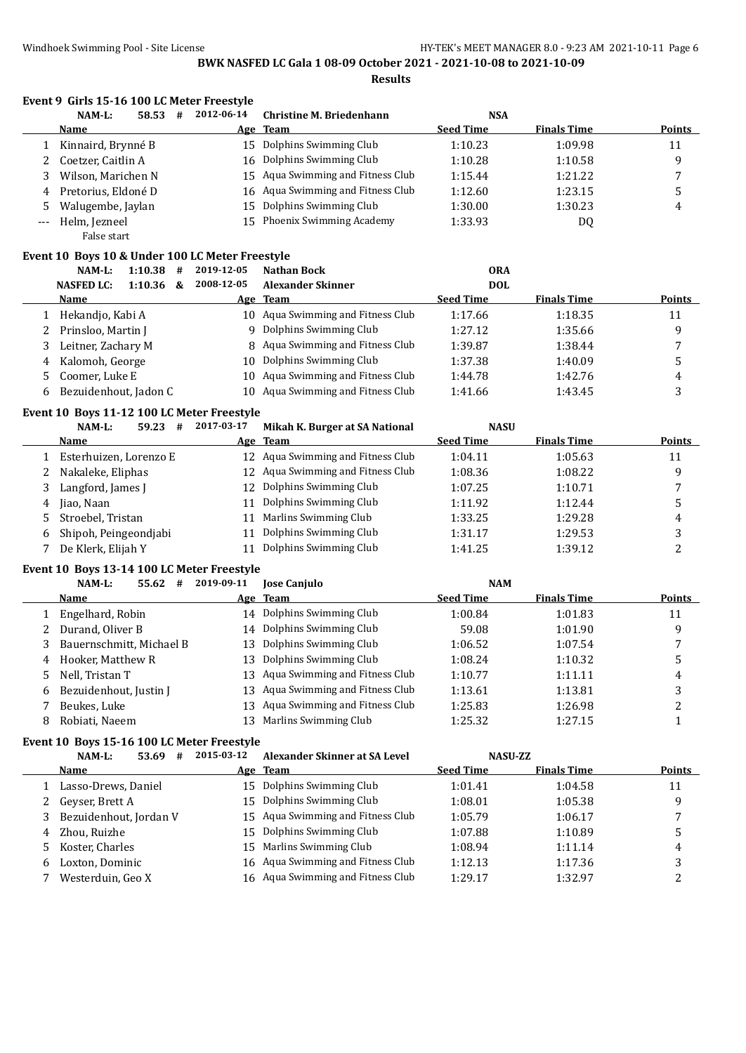**Results**

|       | Event 9 Girls 15-16 100 LC Meter Freestyle      |                          |   |            |                                  |                  |                    |        |
|-------|-------------------------------------------------|--------------------------|---|------------|----------------------------------|------------------|--------------------|--------|
|       | $NAM-L$ :                                       | 58.53                    | # | 2012-06-14 | <b>Christine M. Briedenhann</b>  | <b>NSA</b>       |                    |        |
|       | Name                                            |                          |   |            | Age Team                         | <b>Seed Time</b> | <b>Finals Time</b> | Points |
|       | Kinnaird, Brynné B                              |                          |   | 15         | Dolphins Swimming Club           | 1:10.23          | 1:09.98            | 11     |
|       | Coetzer, Caitlin A                              |                          |   | 16         | Dolphins Swimming Club           | 1:10.28          | 1:10.58            | 9      |
| 3     | Wilson, Marichen N                              |                          |   | 15         | Aqua Swimming and Fitness Club   | 1:15.44          | 1:21.22            | 7      |
| 4     | Pretorius, Eldoné D                             |                          |   | 16         | Aqua Swimming and Fitness Club   | 1:12.60          | 1:23.15            | 5      |
| 5     | Walugembe, Jaylan                               |                          |   | 15         | Dolphins Swimming Club           | 1:30.00          | 1:30.23            | 4      |
| $---$ | Helm, Jezneel                                   |                          |   | 15         | Phoenix Swimming Academy         | 1:33.93          | DQ                 |        |
|       | False start                                     |                          |   |            |                                  |                  |                    |        |
|       | Event 10 Boys 10 & Under 100 LC Meter Freestyle |                          |   |            |                                  |                  |                    |        |
|       | $NAM-L$ :                                       | 1:10.38                  | # | 2019-12-05 | Nathan Bock                      | <b>ORA</b>       |                    |        |
|       | <b>NASFED LC:</b>                               | 1:10.36                  | & | 2008-12-05 | <b>Alexander Skinner</b>         | <b>DOL</b>       |                    |        |
|       | Name                                            |                          |   |            | Age Team                         | <b>Seed Time</b> | <b>Finals Time</b> | Points |
|       | Hekandjo, Kabi A                                |                          |   | 10         | Aqua Swimming and Fitness Club   | 1:17.66          | 1:18.35            | 11     |
|       | Prinsloo, Martin J                              |                          |   | 9          | Dolphins Swimming Club           | 1:27.12          | 1:35.66            | 9      |
| 3     | Leitner, Zachary M                              |                          |   |            | 8 Aqua Swimming and Fitness Club | 1:39.87          | 1:38.44            | 7      |
| 4     | Kalomoh, George                                 |                          |   | 10         | Dolphins Swimming Club           | 1:37.38          | 1:40.09            | 5      |
| 5.    | Coomer, Luke E                                  |                          |   | 10         | Aqua Swimming and Fitness Club   | 1:44.78          | 1:42.76            | 4      |
| 6     | Bezuidenhout, Jadon C                           |                          |   | 10         | Aqua Swimming and Fitness Club   | 1:41.66          | 1:43.45            | 3      |
|       |                                                 | $-40.5$ $-44.40.4007037$ |   |            |                                  |                  |                    |        |

#### **Event 10 Boys 11-12 100 LC Meter Freestyle**

|   | 59.23<br>#<br>NAM-L:   | 2017-03-17 | Mikah K. Burger at SA National    | <b>NASU</b>      |                    |               |
|---|------------------------|------------|-----------------------------------|------------------|--------------------|---------------|
|   | Name                   |            | Age Team                          | <b>Seed Time</b> | <b>Finals Time</b> | <b>Points</b> |
|   | Esterhuizen, Lorenzo E |            | 12 Agua Swimming and Fitness Club | 1:04.11          | 1:05.63            | 11            |
|   | Nakaleke, Eliphas      |            | 12 Aqua Swimming and Fitness Club | 1:08.36          | 1:08.22            | q             |
|   | Langford, James J      | 12.        | Dolphins Swimming Club            | 1:07.25          | 1:10.71            |               |
| 4 | Jiao, Naan             | 11         | Dolphins Swimming Club            | 1:11.92          | 1:12.44            |               |
|   | Stroebel, Tristan      |            | 11 Marlins Swimming Club          | 1:33.25          | 1:29.28            | 4             |
| 6 | Shipoh, Peingeondjabi  | 11         | Dolphins Swimming Club            | 1:31.17          | 1:29.53            |               |
|   | De Klerk, Elijah Y     |            | Dolphins Swimming Club            | 1:41.25          | 1:39.12            |               |

#### **Event 10 Boys 13-14 100 LC Meter Freestyle**

#### **NAM-L: 55.62 # 2019-09-11 Jose Canjulo NAM**

|   | Name                       |     | Age Team                          | <b>Seed Time</b> | <b>Finals Time</b> | <b>Points</b> |
|---|----------------------------|-----|-----------------------------------|------------------|--------------------|---------------|
|   | 1 Engelhard, Robin         |     | 14 Dolphins Swimming Club         | 1:00.84          | 1:01.83            | 11            |
|   | 2 Durand, Oliver B         |     | 14 Dolphins Swimming Club         | 59.08            | 1:01.90            | q             |
|   | 3 Bauernschmitt, Michael B |     | 13 Dolphins Swimming Club         | 1:06.52          | 1:07.54            |               |
|   | 4 Hooker, Matthew R        |     | 13 Dolphins Swimming Club         | 1:08.24          | 1:10.32            |               |
|   | 5 Nell, Tristan T          |     | 13 Agua Swimming and Fitness Club | 1:10.77          | 1:11.11            | 4             |
|   | 6 Bezuidenhout, Justin J   |     | 13 Agua Swimming and Fitness Club | 1:13.61          | 1:13.81            |               |
|   | Beukes, Luke               |     | 13 Agua Swimming and Fitness Club | 1:25.83          | 1:26.98            |               |
| 8 | Robiati, Naeem             | 13. | Marlins Swimming Club             | 1:25.32          | 1:27.15            |               |

#### **Event 10 Boys 15-16 100 LC Meter Freestyle**

|    | NAM-L:<br>53.69<br>#   | 2015-03-12 | Alexander Skinner at SA Level     | <b>NASU-ZZ</b>   |                    |               |
|----|------------------------|------------|-----------------------------------|------------------|--------------------|---------------|
|    | <b>Name</b>            | Age        | Team                              | <b>Seed Time</b> | <b>Finals Time</b> | <b>Points</b> |
|    | Lasso-Drews, Daniel    |            | 15 Dolphins Swimming Club         | 1:01.41          | 1:04.58            | 11            |
|    | 2 Geyser, Brett A      |            | 15 Dolphins Swimming Club         | 1:08.01          | 1:05.38            | 9             |
|    | Bezuidenhout, Jordan V |            | 15 Agua Swimming and Fitness Club | 1:05.79          | 1:06.17            |               |
| 4  | Zhou, Ruizhe           |            | 15 Dolphins Swimming Club         | 1:07.88          | 1:10.89            |               |
| 5. | Koster, Charles        |            | 15 Marlins Swimming Club          | 1:08.94          | 1:11.14            | 4             |
| b  | Loxton, Dominic        |            | 16 Aqua Swimming and Fitness Club | 1:12.13          | 1:17.36            | 3             |
|    | Westerduin, Geo X      |            | 16 Aqua Swimming and Fitness Club | 1:29.17          | 1:32.97            |               |
|    |                        |            |                                   |                  |                    |               |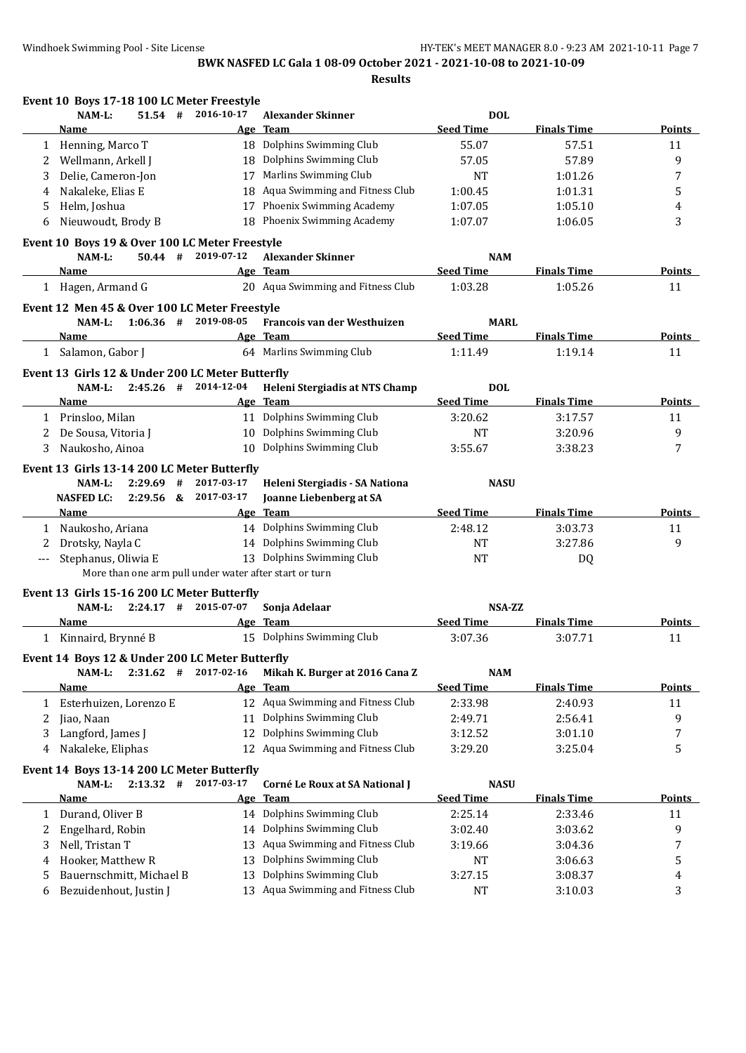**Results**

|     | Event 10 Boys 17-18 100 LC Meter Freestyle             |            |                                       |                  |                    |               |
|-----|--------------------------------------------------------|------------|---------------------------------------|------------------|--------------------|---------------|
|     | NAM-L:<br>$51.54$ #                                    | 2016-10-17 | <b>Alexander Skinner</b>              | <b>DOL</b>       |                    |               |
|     | Name                                                   |            | Age Team                              | <b>Seed Time</b> | <b>Finals Time</b> | <b>Points</b> |
|     | 1 Henning, Marco T                                     |            | 18 Dolphins Swimming Club             | 55.07            | 57.51              | 11            |
| 2   | Wellmann, Arkell J                                     | 18         | Dolphins Swimming Club                | 57.05            | 57.89              | 9             |
| 3   | Delie, Cameron-Jon                                     | 17         | Marlins Swimming Club                 | NT               | 1:01.26            | 7             |
| 4   | Nakaleke, Elias E                                      | 18         | Aqua Swimming and Fitness Club        | 1:00.45          | 1:01.31            | 5             |
| 5   | Helm, Joshua                                           | 17         | Phoenix Swimming Academy              | 1:07.05          | 1:05.10            | 4             |
| 6   | Nieuwoudt, Brody B                                     | 18         | Phoenix Swimming Academy              | 1:07.07          | 1:06.05            | 3             |
|     | Event 10 Boys 19 & Over 100 LC Meter Freestyle         |            |                                       |                  |                    |               |
|     | NAM-L:<br>$50.44$ #                                    | 2019-07-12 | <b>Alexander Skinner</b>              | <b>NAM</b>       |                    |               |
|     | Name                                                   |            | Age Team                              | <b>Seed Time</b> | <b>Finals Time</b> | <b>Points</b> |
|     | 1 Hagen, Armand G                                      |            | 20 Aqua Swimming and Fitness Club     | 1:03.28          | 1:05.26            | 11            |
|     | Event 12 Men 45 & Over 100 LC Meter Freestyle          |            |                                       |                  |                    |               |
|     | $1:06.36$ # 2019-08-05<br>NAM-L:                       |            | Francois van der Westhuizen           | <b>MARL</b>      |                    |               |
|     | Name                                                   |            | Age Team                              | <b>Seed Time</b> | <b>Finals Time</b> | <b>Points</b> |
|     | 1 Salamon, Gabor J                                     |            | 64 Marlins Swimming Club              | 1:11.49          | 1:19.14            | 11            |
|     |                                                        |            |                                       |                  |                    |               |
|     | Event 13 Girls 12 & Under 200 LC Meter Butterfly       |            |                                       |                  |                    |               |
|     | $2:45.26$ #<br>$NAM-L$ :                               | 2014-12-04 | Heleni Stergiadis at NTS Champ        | <b>DOL</b>       |                    |               |
|     | Name                                                   |            | Age Team<br>11 Dolphins Swimming Club | <b>Seed Time</b> | <b>Finals Time</b> | Points        |
|     | 1 Prinsloo, Milan                                      |            |                                       | 3:20.62          | 3:17.57            | 11            |
| 2   | De Sousa, Vitoria J                                    | 10         | Dolphins Swimming Club                | <b>NT</b>        | 3:20.96            | 9             |
| 3   | Naukosho, Ainoa                                        | 10         | Dolphins Swimming Club                | 3:55.67          | 3:38.23            | 7             |
|     | Event 13 Girls 13-14 200 LC Meter Butterfly            |            |                                       |                  |                    |               |
|     | NAM-L:<br>2:29.69<br>#                                 | 2017-03-17 | Heleni Stergiadis - SA Nationa        | <b>NASU</b>      |                    |               |
|     | <b>NASFED LC:</b><br>2:29.56 & 2017-03-17              |            | Joanne Liebenberg at SA               |                  |                    |               |
|     | Name                                                   |            | Age Team                              | <b>Seed Time</b> | <b>Finals Time</b> | Points        |
| 1   | Naukosho, Ariana                                       |            | 14 Dolphins Swimming Club             | 2:48.12          | 3:03.73            | 11            |
| 2   | Drotsky, Nayla C                                       |            | 14 Dolphins Swimming Club             | <b>NT</b>        | 3:27.86            | 9             |
| --- | Stephanus, Oliwia E                                    |            | 13 Dolphins Swimming Club             | <b>NT</b>        | DQ                 |               |
|     | More than one arm pull under water after start or turn |            |                                       |                  |                    |               |
|     | Event 13 Girls 15-16 200 LC Meter Butterfly            |            |                                       |                  |                    |               |
|     | $2:24.17$ #<br>NAM-L:                                  | 2015-07-07 | Sonja Adelaar                         | <b>NSA-ZZ</b>    |                    |               |
|     | Name                                                   |            | Age Team                              | <b>Seed Time</b> | <b>Finals Time</b> | <b>Points</b> |
|     | 1 Kinnaird, Brynné B                                   |            | 15 Dolphins Swimming Club             | 3:07.36          | 3:07.71            | 11            |
|     | Event 14 Boys 12 & Under 200 LC Meter Butterfly        |            |                                       |                  |                    |               |
|     | $2:31.62$ #<br>NAM-L:                                  | 2017-02-16 | Mikah K. Burger at 2016 Cana Z        | <b>NAM</b>       |                    |               |
|     | <b>Name</b>                                            |            | Age Team                              | <b>Seed Time</b> | <b>Finals Time</b> | <b>Points</b> |
|     | 1 Esterhuizen, Lorenzo E                               |            | 12 Aqua Swimming and Fitness Club     | 2:33.98          | 2:40.93            | 11            |
| 2   | Jiao, Naan                                             | 11         | Dolphins Swimming Club                | 2:49.71          | 2:56.41            | 9             |
| 3   | Langford, James J                                      | 12         | Dolphins Swimming Club                | 3:12.52          | 3:01.10            | 7             |
| 4   | Nakaleke, Eliphas                                      | 12         | Aqua Swimming and Fitness Club        | 3:29.20          | 3:25.04            | 5             |
|     |                                                        |            |                                       |                  |                    |               |
|     | Event 14 Boys 13-14 200 LC Meter Butterfly             |            |                                       |                  |                    |               |
|     | NAM-L:<br>$2:13.32$ #                                  | 2017-03-17 | Corné Le Roux at SA National J        | <b>NASU</b>      |                    |               |
|     | <u>Name</u>                                            |            | Age Team                              | <b>Seed Time</b> | <b>Finals Time</b> | <b>Points</b> |
| 1   | Durand, Oliver B                                       |            | 14 Dolphins Swimming Club             | 2:25.14          | 2:33.46            | 11            |
| 2   | Engelhard, Robin                                       | 14         | Dolphins Swimming Club                | 3:02.40          | 3:03.62            | 9             |
| 3   | Nell, Tristan T                                        | 13         | Aqua Swimming and Fitness Club        | 3:19.66          | 3:04.36            | 7             |
| 4   | Hooker, Matthew R                                      | 13         | Dolphins Swimming Club                | <b>NT</b>        | 3:06.63            | 5             |
| 5   | Bauernschmitt, Michael B                               | 13         | Dolphins Swimming Club                | 3:27.15          | 3:08.37            | 4             |
| 6   | Bezuidenhout, Justin J                                 |            | 13 Aqua Swimming and Fitness Club     | NT               | 3:10.03            | 3             |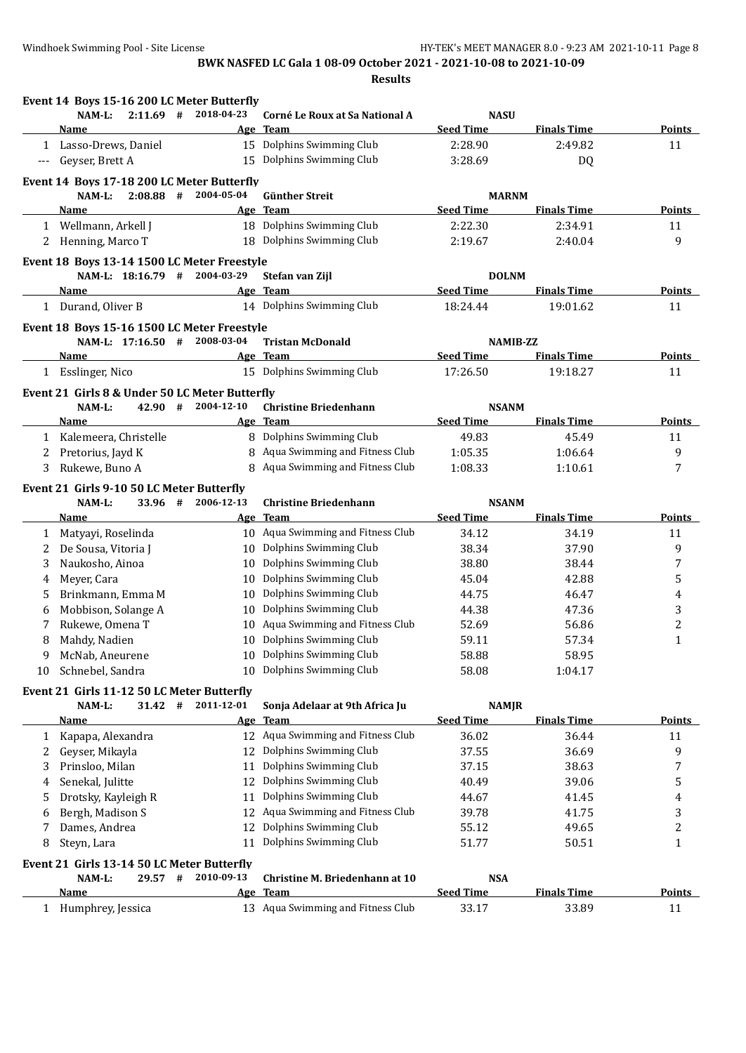|                      | $2:11.69$ #<br>NAM-L:                          | Event 14 Boys 15-16 200 LC Meter Butterfly<br>2018-04-23 | Corné Le Roux at Sa National A    | <b>NASU</b>      |                    |               |
|----------------------|------------------------------------------------|----------------------------------------------------------|-----------------------------------|------------------|--------------------|---------------|
|                      | Name                                           |                                                          | Age Team                          | <b>Seed Time</b> | <b>Finals Time</b> | <b>Points</b> |
|                      | 1 Lasso-Drews, Daniel                          |                                                          | 15 Dolphins Swimming Club         | 2:28.90          | 2:49.82            | 11            |
| $\scriptstyle\cdots$ | Geyser, Brett A                                |                                                          | 15 Dolphins Swimming Club         | 3:28.69          | DQ                 |               |
|                      |                                                |                                                          |                                   |                  |                    |               |
|                      | Event 14 Boys 17-18 200 LC Meter Butterfly     |                                                          |                                   |                  |                    |               |
|                      | $2:08.88$ #<br>NAM-L:                          | 2004-05-04                                               | <b>Günther Streit</b>             | <b>MARNM</b>     |                    |               |
|                      | Name                                           |                                                          | Age Team                          | <b>Seed Time</b> | <b>Finals Time</b> | <b>Points</b> |
|                      | 1 Wellmann, Arkell J                           |                                                          | 18 Dolphins Swimming Club         | 2:22.30          | 2:34.91            | 11            |
|                      | 2 Henning, Marco T                             |                                                          | 18 Dolphins Swimming Club         | 2:19.67          | 2:40.04            | 9             |
|                      | Event 18 Boys 13-14 1500 LC Meter Freestyle    |                                                          |                                   |                  |                    |               |
|                      | NAM-L: 18:16.79 # 2004-03-29                   |                                                          | Stefan van Zijl                   | <b>DOLNM</b>     |                    |               |
|                      | Name                                           |                                                          | Age Team                          | <b>Seed Time</b> | <b>Finals Time</b> | Points        |
|                      | 1 Durand, Oliver B                             |                                                          | 14 Dolphins Swimming Club         | 18:24.44         | 19:01.62           | 11            |
|                      | Event 18 Boys 15-16 1500 LC Meter Freestyle    |                                                          |                                   |                  |                    |               |
|                      | NAM-L: 17:16.50 #                              | 2008-03-04                                               | <b>Tristan McDonald</b>           |                  | <b>NAMIB-ZZ</b>    |               |
|                      | Name                                           |                                                          | Age Team                          | <b>Seed Time</b> | <b>Finals Time</b> | <b>Points</b> |
|                      | 1 Esslinger, Nico                              |                                                          | 15 Dolphins Swimming Club         | 17:26.50         | 19:18.27           | 11            |
|                      |                                                |                                                          |                                   |                  |                    |               |
|                      | Event 21 Girls 8 & Under 50 LC Meter Butterfly |                                                          |                                   |                  |                    |               |
|                      | 42.90 #<br>NAM-L:                              | 2004-12-10                                               | <b>Christine Briedenhann</b>      | <b>NSANM</b>     |                    |               |
|                      | <b>Name</b>                                    |                                                          | Age Team                          | <b>Seed Time</b> | <b>Finals Time</b> | <b>Points</b> |
|                      | 1 Kalemeera, Christelle                        |                                                          | 8 Dolphins Swimming Club          | 49.83            | 45.49              | 11            |
| 2                    | Pretorius, Jayd K                              |                                                          | 8 Aqua Swimming and Fitness Club  | 1:05.35          | 1:06.64            | 9             |
| 3                    | Rukewe, Buno A                                 |                                                          | 8 Aqua Swimming and Fitness Club  | 1:08.33          | 1:10.61            | 7             |
|                      | Event 21 Girls 9-10 50 LC Meter Butterfly      |                                                          |                                   |                  |                    |               |
|                      | 33.96 #<br>NAM-L:                              | 2006-12-13                                               | <b>Christine Briedenhann</b>      | <b>NSANM</b>     |                    |               |
|                      | Name                                           |                                                          | Age Team                          | <b>Seed Time</b> | <b>Finals Time</b> | <b>Points</b> |
| 1                    | Matyayi, Roselinda                             |                                                          | 10 Aqua Swimming and Fitness Club | 34.12            | 34.19              | 11            |
| 2                    | De Sousa, Vitoria J                            |                                                          | 10 Dolphins Swimming Club         | 38.34            | 37.90              | 9             |
| 3                    | Naukosho, Ainoa                                |                                                          | 10 Dolphins Swimming Club         | 38.80            | 38.44              | 7             |
| 4                    | Meyer, Cara                                    |                                                          | 10 Dolphins Swimming Club         | 45.04            | 42.88              | 5             |
| 5                    | Brinkmann, Emma M                              | 10                                                       | Dolphins Swimming Club            | 44.75            | 46.47              | 4             |
| 6                    | Mobbison, Solange A                            |                                                          | 10 Dolphins Swimming Club         | 44.38            | 47.36              | 3             |
| 7                    | Rukewe, Omena T                                |                                                          | 10 Aqua Swimming and Fitness Club | 52.69            | 56.86              | 2             |
| 8                    | Mahdy, Nadien                                  |                                                          | 10 Dolphins Swimming Club         | 59.11            | 57.34              | 1             |
| 9                    | McNab, Aneurene                                |                                                          | 10 Dolphins Swimming Club         | 58.88            | 58.95              |               |
|                      | 10 Schnebel, Sandra                            |                                                          | 10 Dolphins Swimming Club         | 58.08            | 1:04.17            |               |
|                      | Event 21 Girls 11-12 50 LC Meter Butterfly     |                                                          |                                   |                  |                    |               |
|                      | NAM-L:<br>$31.42$ #                            | 2011-12-01                                               | Sonja Adelaar at 9th Africa Ju    | <b>NAMJR</b>     |                    |               |
|                      | <u>Name</u>                                    |                                                          | Age Team                          | <b>Seed Time</b> | <b>Finals Time</b> | <b>Points</b> |
| 1                    | Kapapa, Alexandra                              |                                                          | 12 Aqua Swimming and Fitness Club | 36.02            | 36.44              | 11            |
| 2                    | Geyser, Mikayla                                |                                                          | 12 Dolphins Swimming Club         | 37.55            | 36.69              | 9             |
| 3                    | Prinsloo, Milan                                | 11                                                       | Dolphins Swimming Club            | 37.15            | 38.63              | 7             |
|                      | Senekal, Julitte                               | 12                                                       | Dolphins Swimming Club            | 40.49            | 39.06              | 5             |
| 4<br>5               | Drotsky, Kayleigh R                            | 11                                                       | Dolphins Swimming Club            | 44.67            | 41.45              | 4             |
|                      | Bergh, Madison S                               |                                                          | 12 Aqua Swimming and Fitness Club | 39.78            | 41.75              | 3             |
| 6<br>7               | Dames, Andrea                                  | 12                                                       | Dolphins Swimming Club            | 55.12            | 49.65              | 2             |
|                      |                                                |                                                          |                                   |                  |                    |               |
| 8                    | Steyn, Lara                                    | 11                                                       | Dolphins Swimming Club            | 51.77            | 50.51              | 1             |
|                      | Event 21 Girls 13-14 50 LC Meter Butterfly     |                                                          |                                   |                  |                    |               |
|                      | NAM-L:<br>29.57 #                              | 2010-09-13                                               | Christine M. Briedenhann at 10    | <b>NSA</b>       |                    |               |
|                      |                                                |                                                          | Age Team                          | <b>Seed Time</b> | <b>Finals Time</b> | <b>Points</b> |
|                      | <u>Name</u><br>Humphrey, Jessica               |                                                          | 13 Aqua Swimming and Fitness Club |                  |                    | 11            |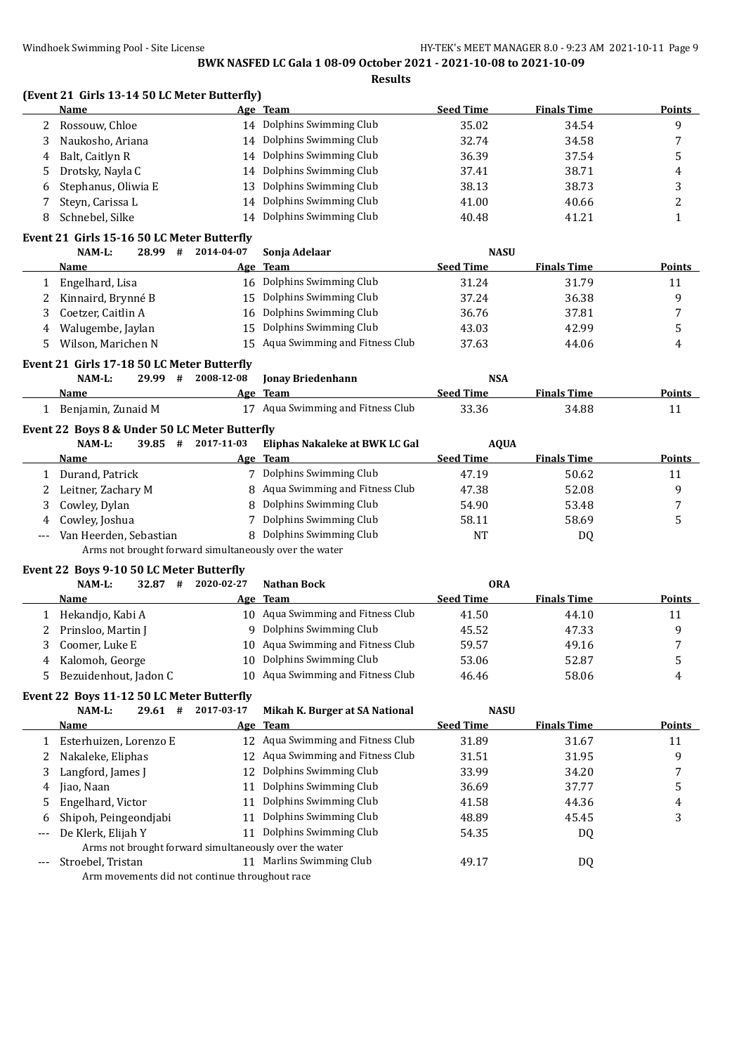**Results**

|  | (Event 21 Girls 13-14 50 LC Meter Butterfly) |  |
|--|----------------------------------------------|--|
|--|----------------------------------------------|--|

|    | Name                | Age Team                  | <b>Seed Time</b> | <b>Finals Time</b> | <b>Points</b> |
|----|---------------------|---------------------------|------------------|--------------------|---------------|
|    | Rossouw, Chloe      | 14 Dolphins Swimming Club | 35.02            | 34.54              | a             |
|    | Naukosho, Ariana    | 14 Dolphins Swimming Club | 32.74            | 34.58              |               |
| 4  | Balt, Caitlyn R     | 14 Dolphins Swimming Club | 36.39            | 37.54              |               |
| 5. | Drotsky, Nayla C    | 14 Dolphins Swimming Club | 37.41            | 38.71              | 4             |
| 6  | Stephanus, Oliwia E | 13 Dolphins Swimming Club | 38.13            | 38.73              |               |
|    | Steyn, Carissa L    | 14 Dolphins Swimming Club | 41.00            | 40.66              |               |
|    | Schnebel, Silke     | Dolphins Swimming Club    | 40.48            | 41.21              |               |

# **Event 21 Girls 15-16 50 LC Meter Butterfly**

|    | NAM-L:                                        | 28.99 | # | 2014-04-07 | Sonja Adelaar                     | <b>NASU</b>      |                    |               |
|----|-----------------------------------------------|-------|---|------------|-----------------------------------|------------------|--------------------|---------------|
|    | Name                                          |       |   |            | Age Team                          | <b>Seed Time</b> | <b>Finals Time</b> | Points        |
|    | Engelhard, Lisa                               |       |   |            | 16 Dolphins Swimming Club         | 31.24            | 31.79              | 11            |
|    | Kinnaird, Brynné B                            |       |   | 15         | Dolphins Swimming Club            | 37.24            | 36.38              | 9             |
| 3  | Coetzer, Caitlin A                            |       |   |            | 16 Dolphins Swimming Club         | 36.76            | 37.81              |               |
| 4  | Walugembe, Jaylan                             |       |   |            | 15 Dolphins Swimming Club         | 43.03            | 42.99              |               |
| 5. | Wilson, Marichen N                            |       |   |            | 15 Agua Swimming and Fitness Club | 37.63            | 44.06              | 4             |
|    | Event 21 Girls 17-18 50 LC Meter Butterfly    |       |   |            |                                   |                  |                    |               |
|    |                                               |       |   |            |                                   |                  |                    |               |
|    | NAM-L:                                        | 29.99 | # | 2008-12-08 | <b>Jonay Briedenhann</b>          | <b>NSA</b>       |                    |               |
|    | Name                                          |       |   |            | Age Team                          | <b>Seed Time</b> | <b>Finals Time</b> | Points        |
|    | Benjamin, Zunaid M                            |       |   | 17         | Aqua Swimming and Fitness Club    | 33.36            | 34.88              | 11            |
|    | Event 22 Boys 8 & Under 50 LC Meter Butterfly |       |   |            |                                   |                  |                    |               |
|    | $NAM-L$ :                                     | 39.85 | # | 2017-11-03 | Eliphas Nakaleke at BWK LC Gal    | <b>AQUA</b>      |                    |               |
|    | Name                                          |       |   |            | Age Team                          | <b>Seed Time</b> | <b>Finals Time</b> | <b>Points</b> |
|    | Durand, Patrick                               |       |   |            | Dolphins Swimming Club            | 47.19            | 50.62              | 11            |

4 Cowley, Joshua 7 Dolphins Swimming Club 58.11 58.69 5 --- Van Heerden, Sebastian 8 Dolphins Swimming Club 1997 NT NT 2009 Arms not brought forward simultaneously over the water

#### **Event 22 Boys 9-10 50 LC Meter Butterfly**

|   | 32.87<br>NAM-L:<br>#  | 2020-02-27 | <b>Nathan Bock</b>                | <b>ORA</b>       |                    |        |
|---|-----------------------|------------|-----------------------------------|------------------|--------------------|--------|
|   | <b>Name</b>           | Age        | Team                              | <b>Seed Time</b> | <b>Finals Time</b> | Points |
|   | Hekandjo, Kabi A      |            | 10 Aqua Swimming and Fitness Club | 41.50            | 44.10              | 11     |
|   | Prinsloo, Martin J    |            | 9 Dolphins Swimming Club          | 45.52            | 47.33              |        |
|   | Coomer, Luke E        |            | 10 Aqua Swimming and Fitness Club | 59.57            | 49.16              |        |
| 4 | Kalomoh, George       | 10.        | Dolphins Swimming Club            | 53.06            | 52.87              |        |
|   | Bezuidenhout, Jadon C |            | 10 Aqua Swimming and Fitness Club | 46.46            | 58.06              | 4      |

3 Cowley, Dylan **8 Dolphins Swimming Club** 54.90 53.48 53.48

# **Event 22 Boys 11-12 50 LC Meter Butterfly**

|                   | $NAM-L$ :<br>29.61<br>#                                | 2017-03-17 | Mikah K. Burger at SA National    | <b>NASU</b>      |                    |        |
|-------------------|--------------------------------------------------------|------------|-----------------------------------|------------------|--------------------|--------|
|                   | <b>Name</b>                                            |            | Age Team                          | <b>Seed Time</b> | <b>Finals Time</b> | Points |
|                   | Esterhuizen, Lorenzo E                                 |            | 12 Agua Swimming and Fitness Club | 31.89            | 31.67              | 11     |
|                   | Nakaleke, Eliphas                                      | 12         | Aqua Swimming and Fitness Club    | 31.51            | 31.95              | 9      |
|                   | Langford, James J                                      |            | 12 Dolphins Swimming Club         | 33.99            | 34.20              | 7      |
| 4                 | Jiao, Naan                                             | 11         | Dolphins Swimming Club            | 36.69            | 37.77              | 5.     |
|                   | Engelhard, Victor                                      | 11         | Dolphins Swimming Club            | 41.58            | 44.36              | 4      |
| 6                 | Shipoh, Peingeondjabi                                  | 11         | Dolphins Swimming Club            | 48.89            | 45.45              | 3      |
| $\qquad \qquad -$ | De Klerk, Elijah Y                                     | 11         | Dolphins Swimming Club            | 54.35            | DQ                 |        |
|                   | Arms not brought forward simultaneously over the water |            |                                   |                  |                    |        |
|                   | Stroebel, Tristan                                      | 11         | Marlins Swimming Club             | 49.17            | DQ                 |        |
|                   | Arm movements did not continue throughout race         |            |                                   |                  |                    |        |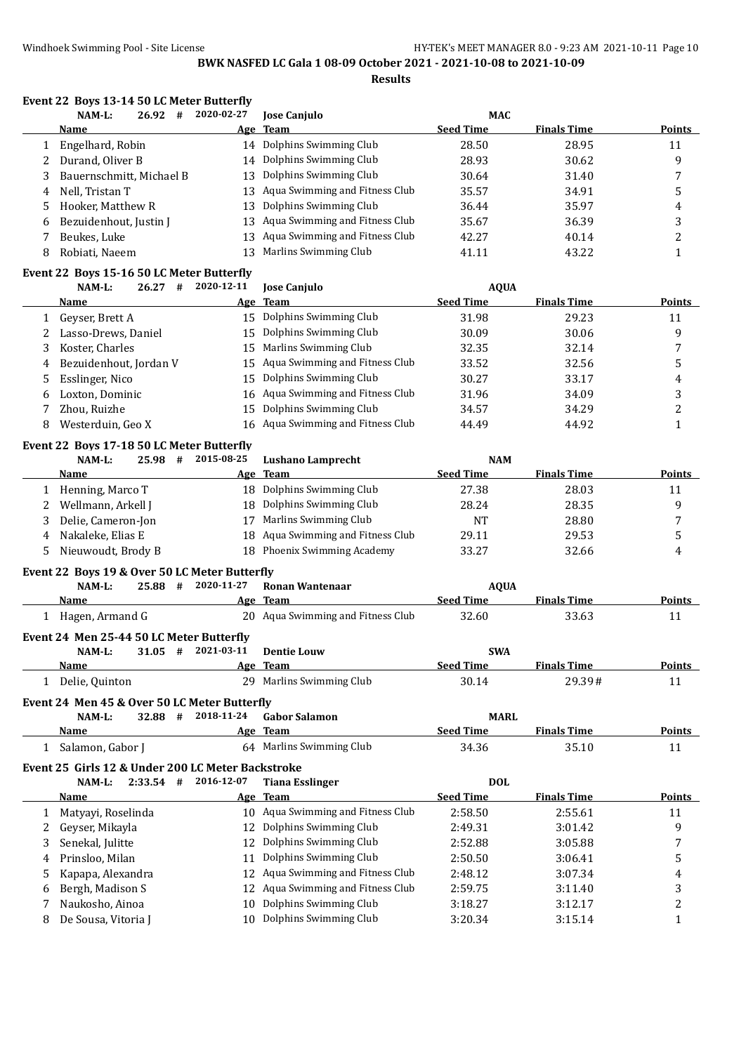**Results**

|        |       |   | Event 22 Boys 13-14 50 LC Meter Butterfly |    |
|--------|-------|---|-------------------------------------------|----|
| NAM-L: | 26.92 | # | 2020-02-27                                | Iо |

| NAM-L:       | 26.92       | #                                                                                              | 2020-02-27             | <b>Jose Canjulo</b>      | <b>MAC</b>                                                                                                                                                                                                                                                              |                    |        |
|--------------|-------------|------------------------------------------------------------------------------------------------|------------------------|--------------------------|-------------------------------------------------------------------------------------------------------------------------------------------------------------------------------------------------------------------------------------------------------------------------|--------------------|--------|
|              |             |                                                                                                |                        |                          | <b>Seed Time</b>                                                                                                                                                                                                                                                        | <b>Finals Time</b> | Points |
|              |             |                                                                                                |                        |                          | 28.50                                                                                                                                                                                                                                                                   | 28.95              | 11     |
|              |             |                                                                                                |                        |                          | 28.93                                                                                                                                                                                                                                                                   | 30.62              | 9      |
|              |             |                                                                                                |                        |                          | 30.64                                                                                                                                                                                                                                                                   | 31.40              |        |
|              |             |                                                                                                |                        |                          | 35.57                                                                                                                                                                                                                                                                   | 34.91              |        |
|              |             |                                                                                                |                        |                          | 36.44                                                                                                                                                                                                                                                                   | 35.97              | 4      |
|              |             |                                                                                                |                        |                          | 35.67                                                                                                                                                                                                                                                                   | 36.39              |        |
| Beukes, Luke |             |                                                                                                |                        |                          | 42.27                                                                                                                                                                                                                                                                   | 40.14              | ∠      |
|              |             |                                                                                                |                        |                          | 41.11                                                                                                                                                                                                                                                                   | 43.22              |        |
|              | <b>Name</b> | Engelhard, Robin<br>Durand, Oliver B<br>Nell, Tristan T<br>Hooker, Matthew R<br>Robiati, Naeem | Bezuidenhout, Justin J | Bauernschmitt, Michael B | Age Team<br>14 Dolphins Swimming Club<br>14 Dolphins Swimming Club<br>13 Dolphins Swimming Club<br>13 Agua Swimming and Fitness Club<br>13 Dolphins Swimming Club<br>13 Aqua Swimming and Fitness Club<br>13 Agua Swimming and Fitness Club<br>13 Marlins Swimming Club |                    |        |

# **Event 22 Boys 15-16 50 LC Meter Butterfly**

| $NAM-L$ :<br>26.27<br># | 2020-12-11               | <b>Jose Canjulo</b>   | <b>AQUA</b>                                                                                                                                                                                                                                       |                    |        |
|-------------------------|--------------------------|-----------------------|---------------------------------------------------------------------------------------------------------------------------------------------------------------------------------------------------------------------------------------------------|--------------------|--------|
| Name                    |                          |                       | <b>Seed Time</b>                                                                                                                                                                                                                                  | <b>Finals Time</b> | Points |
| Geyser, Brett A         |                          |                       | 31.98                                                                                                                                                                                                                                             | 29.23              | 11     |
| Lasso-Drews, Daniel     |                          |                       | 30.09                                                                                                                                                                                                                                             | 30.06              | 9      |
| Koster, Charles         |                          | Marlins Swimming Club | 32.35                                                                                                                                                                                                                                             | 32.14              |        |
|                         |                          |                       | 33.52                                                                                                                                                                                                                                             | 32.56              |        |
| Esslinger, Nico         |                          |                       | 30.27                                                                                                                                                                                                                                             | 33.17              | 4      |
| Loxton, Dominic         |                          |                       | 31.96                                                                                                                                                                                                                                             | 34.09              |        |
| Zhou, Ruizhe            |                          |                       | 34.57                                                                                                                                                                                                                                             | 34.29              |        |
| Westerduin, Geo X       |                          |                       | 44.49                                                                                                                                                                                                                                             | 44.92              |        |
|                         | 4 Bezuidenhout, Jordan V |                       | Age Team<br>15 Dolphins Swimming Club<br>15 Dolphins Swimming Club<br>15<br>15 Agua Swimming and Fitness Club<br>15 Dolphins Swimming Club<br>16 Aqua Swimming and Fitness Club<br>15 Dolphins Swimming Club<br>16 Aqua Swimming and Fitness Club |                    |        |

#### **Event 22 Boys 17-18 50 LC Meter Butterfly**

|   | NAM-L:<br>25.98<br># | 2015-08-25 | Lushano Lamprecht                 | <b>NAM</b>       |                    |               |
|---|----------------------|------------|-----------------------------------|------------------|--------------------|---------------|
|   | Name                 |            | Age Team                          | <b>Seed Time</b> | <b>Finals Time</b> | <b>Points</b> |
|   | Henning, Marco T     |            | 18 Dolphins Swimming Club         | 27.38            | 28.03              |               |
|   | Wellmann, Arkell J   |            | 18 Dolphins Swimming Club         | 28.24            | 28.35              |               |
|   | Delie, Cameron-Jon   | 17         | Marlins Swimming Club             | <b>NT</b>        | 28.80              |               |
| 4 | Nakaleke. Elias E    |            | 18 Aqua Swimming and Fitness Club | 29.11            | 29.53              |               |
|   | Nieuwoudt, Brody B   |            | 18 Phoenix Swimming Academy       | 33.27            | 32.66              | 4             |

# **Event 22 Boys 19 & Over 50 LC Meter Butterfly**

| NAM-L:                                   | 25.88 | # | 2020-11-27 | Ronan Wantenaar                   | <b>AOUA</b>      |                    |               |  |
|------------------------------------------|-------|---|------------|-----------------------------------|------------------|--------------------|---------------|--|
| Name                                     |       |   |            | Age Team                          | <b>Seed Time</b> | <b>Finals Time</b> | Points        |  |
| Hagen, Armand G                          |       |   |            | 20 Agua Swimming and Fitness Club | 32.60            | 33.63              | 11            |  |
| Event 24 Men 25-44 50 LC Meter Butterfly |       |   |            |                                   |                  |                    |               |  |
| NAM-L:                                   | 31.05 | # | 2021-03-11 | <b>Dentie Louw</b>                | <b>SWA</b>       |                    |               |  |
| Name                                     |       |   |            | Age Team                          | <b>Seed Time</b> | <b>Finals Time</b> | <b>Points</b> |  |

| Name                                         | Team<br>Age              | <b>Seed Time</b> | <b>Finals Time</b> | <b>Points</b> |
|----------------------------------------------|--------------------------|------------------|--------------------|---------------|
| Delie, Quinton                               | 29 Marlins Swimming Club | 30.14            | 29.39#             |               |
| Event 24 Men 45 & Over 50 LC Meter Butterfly |                          |                  |                    |               |

| $NAM-L$ :          | 32.88 | # | 2018-11-24 | Gabor Salamon            | <b>MARL</b>      |                    |        |
|--------------------|-------|---|------------|--------------------------|------------------|--------------------|--------|
| Name               |       |   |            | Age Team                 | <b>Seed Time</b> | <b>Finals Time</b> | Points |
| - Salamon, Gabor J |       |   |            | 64 Marlins Swimming Club | 34.36            | 35.10              |        |

## **Event 25 Girls 12 & Under 200 LC Meter Backstroke**

|    | NAM-L:<br>2:33.54<br># | 2016-12-07 | <b>Tiana Esslinger</b>            | <b>DOL</b>       |                    |        |
|----|------------------------|------------|-----------------------------------|------------------|--------------------|--------|
|    | <b>Name</b>            |            | Age Team                          | <b>Seed Time</b> | <b>Finals Time</b> | Points |
|    | Matyayi, Roselinda     | 10         | Aqua Swimming and Fitness Club    | 2:58.50          | 2:55.61            | 11     |
|    | Geyser, Mikayla        | 12.        | Dolphins Swimming Club            | 2:49.31          | 3:01.42            | 9      |
|    | Senekal, Julitte       |            | 12 Dolphins Swimming Club         | 2:52.88          | 3:05.88            |        |
| 4  | Prinsloo, Milan        | 11         | Dolphins Swimming Club            | 2:50.50          | 3:06.41            | 5      |
| 5. | Kapapa, Alexandra      |            | 12 Aqua Swimming and Fitness Club | 2:48.12          | 3:07.34            | 4      |
| 6  | Bergh, Madison S       |            | 12 Aqua Swimming and Fitness Club | 2:59.75          | 3:11.40            |        |
|    | Naukosho, Ainoa        | 10         | Dolphins Swimming Club            | 3:18.27          | 3:12.17            |        |
|    | De Sousa, Vitoria J    | 10         | Dolphins Swimming Club            | 3:20.34          | 3:15.14            |        |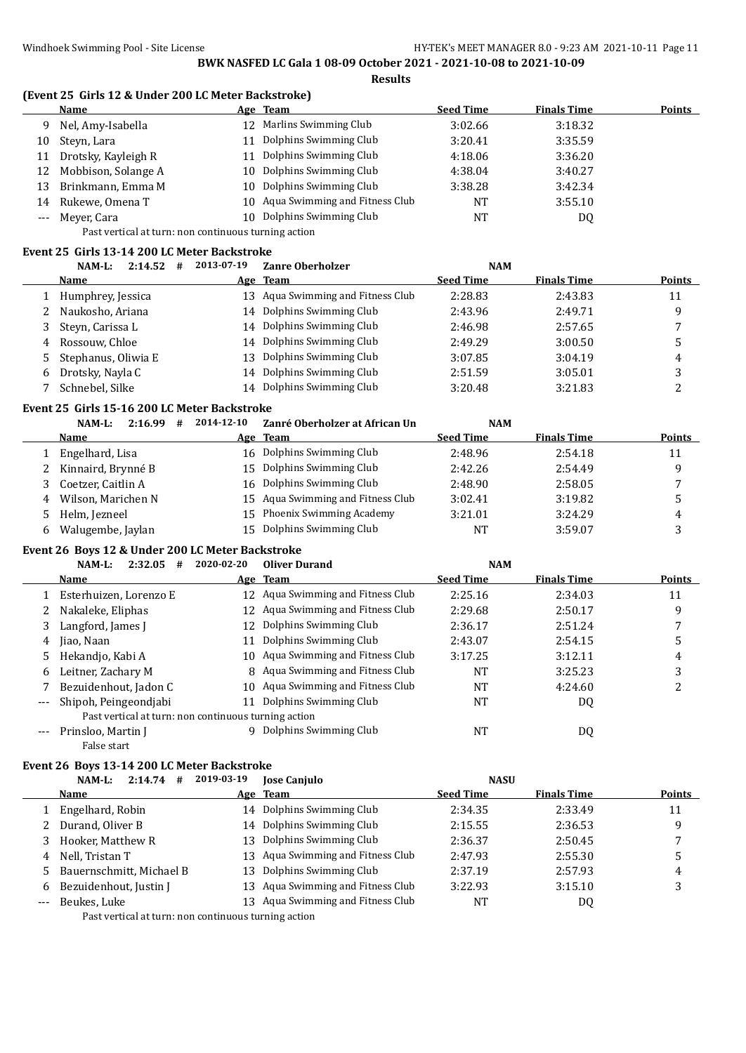# **(Event 25 Girls 12 & Under 200 LC Meter Backstroke)**

|       | Name                |     | Age Team                          | <b>Seed Time</b> | <b>Finals Time</b> | <b>Points</b> |  |  |  |  |
|-------|---------------------|-----|-----------------------------------|------------------|--------------------|---------------|--|--|--|--|
| 9.    | Nel, Amy-Isabella   | 12. | Marlins Swimming Club             | 3:02.66          | 3:18.32            |               |  |  |  |  |
| 10    | Steyn, Lara         |     | Dolphins Swimming Club            | 3:20.41          | 3:35.59            |               |  |  |  |  |
| 11    | Drotsky, Kayleigh R |     | Dolphins Swimming Club            | 4:18.06          | 3:36.20            |               |  |  |  |  |
| 12    | Mobbison, Solange A |     | 10 Dolphins Swimming Club         | 4:38.04          | 3:40.27            |               |  |  |  |  |
| 13    | Brinkmann, Emma M   |     | 10 Dolphins Swimming Club         | 3:38.28          | 3:42.34            |               |  |  |  |  |
| 14    | Rukewe, Omena T     |     | 10 Aqua Swimming and Fitness Club | <b>NT</b>        | 3:55.10            |               |  |  |  |  |
| $---$ | Mever, Cara         |     | 10 Dolphins Swimming Club         | NT               | DQ                 |               |  |  |  |  |
|       |                     |     |                                   |                  |                    |               |  |  |  |  |

Past vertical at turn: non continuous turning action

#### **Event 25 Girls 13-14 200 LC Meter Backstroke**

|   | 2:14.52<br>NAM-L:<br># | 2013-07-19 | <b>Zanre Oberholzer</b>           | <b>NAM</b>       |                    |               |
|---|------------------------|------------|-----------------------------------|------------------|--------------------|---------------|
|   | Name                   | Age        | Team                              | <b>Seed Time</b> | <b>Finals Time</b> | <b>Points</b> |
|   | Humphrey, Jessica      |            | 13 Aqua Swimming and Fitness Club | 2:28.83          | 2:43.83            | 11            |
|   | Naukosho, Ariana       |            | 14 Dolphins Swimming Club         | 2:43.96          | 2:49.71            | q             |
|   | Steyn, Carissa L       |            | 14 Dolphins Swimming Club         | 2:46.98          | 2:57.65            | 7             |
| 4 | Rossouw. Chloe         |            | 14 Dolphins Swimming Club         | 2:49.29          | 3:00.50            |               |
| 5 | Stephanus, Oliwia E    | 13.        | Dolphins Swimming Club            | 3:07.85          | 3:04.19            | 4             |
| 6 | Drotsky, Nayla C       |            | 14 Dolphins Swimming Club         | 2:51.59          | 3:05.01            | 3             |
|   | Schnebel, Silke        |            | 14 Dolphins Swimming Club         | 3:20.48          | 3:21.83            |               |

#### **Event 25 Girls 15-16 200 LC Meter Backstroke**

|    | 2:16.99<br>NAM-L:<br># | 2014-12-10 | Zanré Oberholzer at African Un    | <b>NAM</b>       |                    |        |
|----|------------------------|------------|-----------------------------------|------------------|--------------------|--------|
|    | Name                   |            | Age Team                          | <b>Seed Time</b> | <b>Finals Time</b> | Points |
|    | Engelhard, Lisa        |            | 16 Dolphins Swimming Club         | 2:48.96          | 2:54.18            | 11     |
|    | 2 Kinnaird, Brynné B   | 15.        | Dolphins Swimming Club            | 2:42.26          | 2:54.49            | q      |
|    | Coetzer, Caitlin A     |            | 16 Dolphins Swimming Club         | 2:48.90          | 2:58.05            |        |
|    | 4 Wilson, Marichen N   |            | 15 Aqua Swimming and Fitness Club | 3:02.41          | 3:19.82            |        |
| 5. | Helm, Jezneel          | 15.        | Phoenix Swimming Academy          | 3:21.01          | 3:24.29            | 4      |
|    | Walugembe, Jaylan      | 15.        | Dolphins Swimming Club            | <b>NT</b>        | 3:59.07            |        |

#### **Event 26 Boys 12 & Under 200 LC Meter Backstroke**

|       | 2:32.05<br>NAM-L:<br>#                               | 2020-02-20 | <b>Oliver Durand</b>             | <b>NAM</b>       |                    |        |
|-------|------------------------------------------------------|------------|----------------------------------|------------------|--------------------|--------|
|       | Name                                                 |            | Age Team                         | <b>Seed Time</b> | <b>Finals Time</b> | Points |
|       | Esterhuizen, Lorenzo E                               | 12         | Aqua Swimming and Fitness Club   | 2:25.16          | 2:34.03            | 11     |
|       | Nakaleke, Eliphas                                    | 12         | Aqua Swimming and Fitness Club   | 2:29.68          | 2:50.17            | 9      |
| 3     | Langford, James J                                    | 12         | Dolphins Swimming Club           | 2:36.17          | 2:51.24            |        |
| 4     | Jiao, Naan                                           | 11         | Dolphins Swimming Club           | 2:43.07          | 2:54.15            | 5      |
| 5.    | Hekandjo, Kabi A                                     | 10.        | Aqua Swimming and Fitness Club   | 3:17.25          | 3:12.11            | 4      |
| 6     | Leitner, Zachary M                                   |            | 8 Aqua Swimming and Fitness Club | NT               | 3:25.23            |        |
|       | Bezuidenhout, Jadon C                                | 10         | Aqua Swimming and Fitness Club   | <b>NT</b>        | 4:24.60            |        |
| $---$ | Shipoh, Peingeondjabi                                | 11         | Dolphins Swimming Club           | NT               | DQ                 |        |
|       | Past vertical at turn: non continuous turning action |            |                                  |                  |                    |        |
|       | Prinsloo, Martin J                                   |            | 9 Dolphins Swimming Club         | NT               | DQ                 |        |
|       | False start                                          |            |                                  |                  |                    |        |

#### **Event 26 Boys 13-14 200 LC Meter Backstroke**

|       | 2:14.74<br>NAM-L:<br>#   | 2019-03-19 | <b>Jose Canjulo</b>               | <b>NASU</b>      |                    |               |
|-------|--------------------------|------------|-----------------------------------|------------------|--------------------|---------------|
|       | <b>Name</b>              |            | Age Team                          | <b>Seed Time</b> | <b>Finals Time</b> | <b>Points</b> |
|       | Engelhard, Robin         | 14         | Dolphins Swimming Club            | 2:34.35          | 2:33.49            | 11            |
|       | Durand, Oliver B         |            | 14 Dolphins Swimming Club         | 2:15.55          | 2:36.53            | 9             |
|       | Hooker, Matthew R        | 13.        | Dolphins Swimming Club            | 2:36.37          | 2:50.45            | 7             |
| 4     | Nell. Tristan T          |            | 13 Aqua Swimming and Fitness Club | 2:47.93          | 2:55.30            |               |
| 5.    | Bauernschmitt, Michael B | 13.        | Dolphins Swimming Club            | 2:37.19          | 2:57.93            | 4             |
| 6     | Bezuidenhout, Justin J   |            | 13 Aqua Swimming and Fitness Club | 3:22.93          | 3:15.10            | 3             |
| $---$ | Beukes, Luke             |            | 13 Agua Swimming and Fitness Club | NT               | DQ                 |               |
|       |                          |            |                                   |                  |                    |               |

Past vertical at turn: non continuous turning action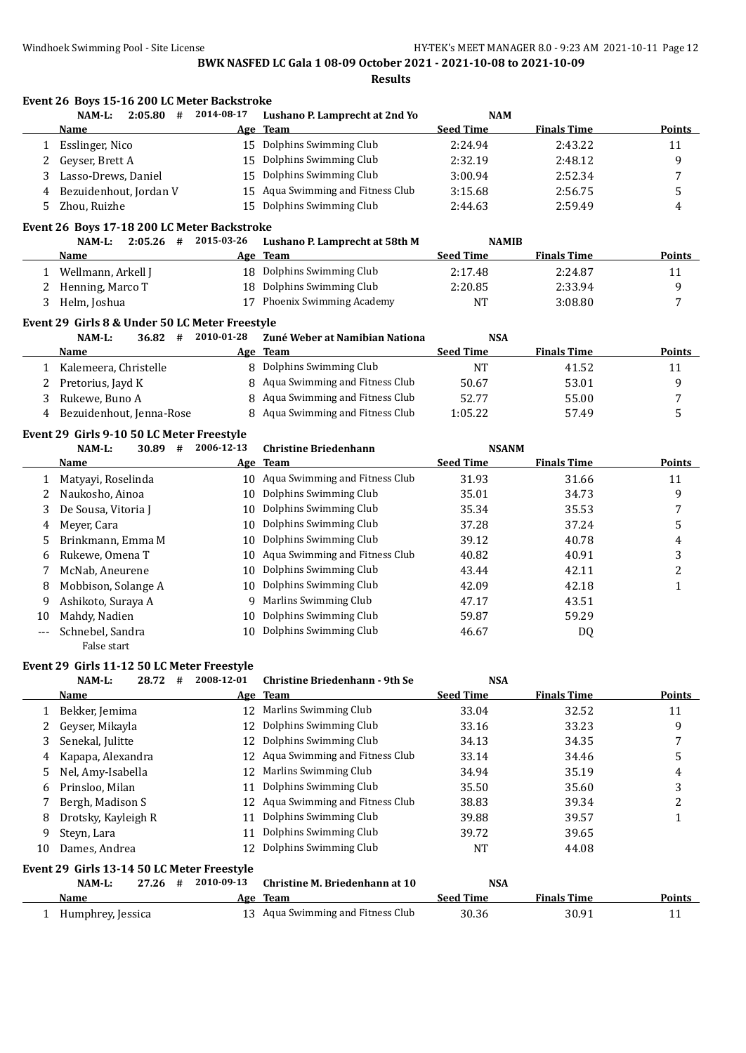**Results**

|     | Event 26 Boys 15-16 200 LC Meter Backstroke    |            |                                       |                  |                    |                  |
|-----|------------------------------------------------|------------|---------------------------------------|------------------|--------------------|------------------|
|     | #<br>NAM-L:<br>2:05.80                         | 2014-08-17 | Lushano P. Lamprecht at 2nd Yo        | <b>NAM</b>       |                    |                  |
|     | <u>Name</u>                                    |            | Age Team                              | <b>Seed Time</b> | <b>Finals Time</b> | <b>Points</b>    |
| 1   | Esslinger, Nico                                |            | 15 Dolphins Swimming Club             | 2:24.94          | 2:43.22            | 11               |
| 2   | Geyser, Brett A                                | 15         | Dolphins Swimming Club                | 2:32.19          | 2:48.12            | 9                |
| 3   | Lasso-Drews, Daniel                            | 15         | Dolphins Swimming Club                | 3:00.94          | 2:52.34            | $\boldsymbol{7}$ |
| 4   | Bezuidenhout, Jordan V                         | 15         | Aqua Swimming and Fitness Club        | 3:15.68          | 2:56.75            | 5                |
| 5.  | Zhou, Ruizhe                                   | 15         | Dolphins Swimming Club                | 2:44.63          | 2:59.49            | 4                |
|     | Event 26 Boys 17-18 200 LC Meter Backstroke    |            |                                       |                  |                    |                  |
|     | $2:05.26$ #<br>NAM-L:                          | 2015-03-26 | Lushano P. Lamprecht at 58th M        | <b>NAMIB</b>     |                    |                  |
|     | Name                                           |            | Age Team                              | <b>Seed Time</b> | <b>Finals Time</b> | <b>Points</b>    |
| 1   | Wellmann, Arkell J                             |            | 18 Dolphins Swimming Club             | 2:17.48          | 2:24.87            | 11               |
| 2   | Henning, Marco T                               | 18         | Dolphins Swimming Club                | 2:20.85          | 2:33.94            | 9                |
| 3   | Helm, Joshua                                   | 17         | Phoenix Swimming Academy              | <b>NT</b>        | 3:08.80            | 7                |
|     | Event 29 Girls 8 & Under 50 LC Meter Freestyle |            |                                       |                  |                    |                  |
|     | NAM-L:<br>36.82 #                              | 2010-01-28 | Zuné Weber at Namibian Nationa        | <b>NSA</b>       |                    |                  |
|     | Name                                           |            | Age Team                              | <b>Seed Time</b> | <b>Finals Time</b> | Points           |
| 1   | Kalemeera, Christelle                          | 8          | Dolphins Swimming Club                | <b>NT</b>        | 41.52              | 11               |
| 2   | Pretorius, Jayd K                              | 8          | Aqua Swimming and Fitness Club        | 50.67            | 53.01              | 9                |
| 3   | Rukewe, Buno A                                 | 8          | Aqua Swimming and Fitness Club        | 52.77            | 55.00              | 7                |
| 4   | Bezuidenhout, Jenna-Rose                       | 8          | Aqua Swimming and Fitness Club        | 1:05.22          | 57.49              | 5                |
|     | Event 29 Girls 9-10 50 LC Meter Freestyle      |            |                                       |                  |                    |                  |
|     | NAM-L:<br>30.89<br>#                           | 2006-12-13 | <b>Christine Briedenhann</b>          | <b>NSANM</b>     |                    |                  |
|     | Name                                           |            | Age Team                              | <b>Seed Time</b> | <b>Finals Time</b> | <b>Points</b>    |
| 1   | Matyayi, Roselinda                             |            | 10 Aqua Swimming and Fitness Club     | 31.93            | 31.66              | 11               |
| 2   | Naukosho, Ainoa                                | 10         | Dolphins Swimming Club                | 35.01            | 34.73              | 9                |
| 3   | De Sousa, Vitoria J                            | 10         | Dolphins Swimming Club                | 35.34            | 35.53              | 7                |
| 4   | Meyer, Cara                                    | 10         | Dolphins Swimming Club                | 37.28            | 37.24              | 5                |
| 5.  | Brinkmann, Emma M                              | 10         | Dolphins Swimming Club                | 39.12            | 40.78              | 4                |
| 6   | Rukewe, Omena T                                | 10         | Aqua Swimming and Fitness Club        | 40.82            | 40.91              | 3                |
| 7   | McNab, Aneurene                                | 10         | Dolphins Swimming Club                | 43.44            | 42.11              | $\overline{c}$   |
| 8   | Mobbison, Solange A                            | 10         | Dolphins Swimming Club                | 42.09            | 42.18              | $\mathbf{1}$     |
| 9   | Ashikoto, Suraya A                             |            | 9 Marlins Swimming Club               | 47.17            | 43.51              |                  |
| 10  | Mahdy, Nadien                                  | 10         | Dolphins Swimming Club                | 59.87            | 59.29              |                  |
| --- | Schnebel, Sandra                               | 10         | Dolphins Swimming Club                | 46.67            | DQ                 |                  |
|     | False start                                    |            |                                       |                  |                    |                  |
|     | Event 29 Girls 11-12 50 LC Meter Freestyle     |            |                                       |                  |                    |                  |
|     | NAM-L:<br>28.72<br>#                           | 2008-12-01 | <b>Christine Briedenhann - 9th Se</b> | <b>NSA</b>       |                    |                  |
|     | <b>Name</b>                                    | Age        | <b>Team</b>                           | <b>Seed Time</b> | <b>Finals Time</b> | Points           |
| 1   | Bekker, Jemima                                 | 12         | Marlins Swimming Club                 | 33.04            | 32.52              | 11               |
| 2   | Geyser, Mikayla                                | 12         | Dolphins Swimming Club                | 33.16            | 33.23              | 9                |
| 3   | Senekal, Julitte                               | 12         | Dolphins Swimming Club                | 34.13            | 34.35              | 7                |
| 4   | Kapapa, Alexandra                              | 12         | Aqua Swimming and Fitness Club        | 33.14            | 34.46              | 5                |
| 5   | Nel, Amy-Isabella                              | 12         | Marlins Swimming Club                 | 34.94            | 35.19              | 4                |
| 6   | Prinsloo, Milan                                | 11         | Dolphins Swimming Club                | 35.50            | 35.60              | 3                |
| 7   | Bergh, Madison S                               | 12         | Aqua Swimming and Fitness Club        | 38.83            | 39.34              | 2                |
| 8   | Drotsky, Kayleigh R                            | 11         | Dolphins Swimming Club                | 39.88            | 39.57              | 1                |
| 9   | Steyn, Lara                                    | 11         | Dolphins Swimming Club                | 39.72            | 39.65              |                  |
| 10  | Dames, Andrea                                  | 12         | Dolphins Swimming Club                | <b>NT</b>        | 44.08              |                  |
|     | Event 29 Girls 13-14 50 LC Meter Freestyle     |            |                                       |                  |                    |                  |
|     | #<br>NAM-L:<br>27.26                           | 2010-09-13 | Christine M. Briedenhann at 10        | <b>NSA</b>       |                    |                  |
|     | Name                                           | <u>Age</u> | <b>Team</b>                           | <b>Seed Time</b> | <b>Finals Time</b> | <b>Points</b>    |
|     | 1 Humphrey, Jessica                            |            | 13 Aqua Swimming and Fitness Club     | 30.36            | 30.91              | 11               |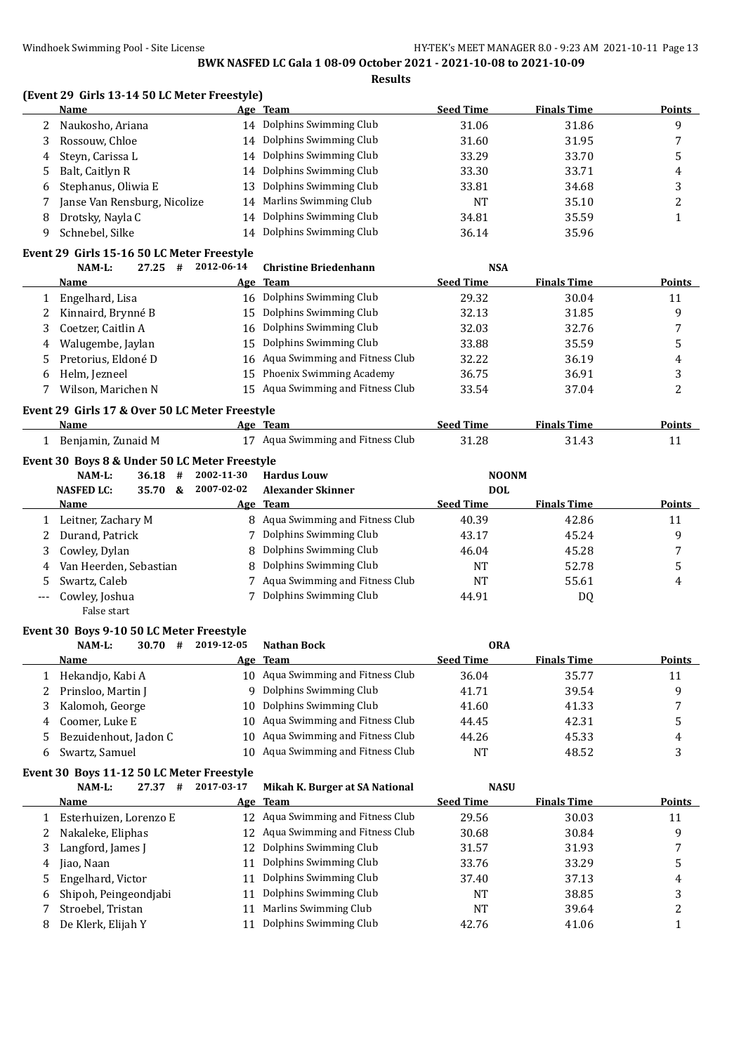**Results**

### **(Event 29 Girls 13-14 50 LC Meter Freestyle)**

|    | Name                         | Age Team                  | <b>Seed Time</b> | <b>Finals Time</b> | <b>Points</b> |
|----|------------------------------|---------------------------|------------------|--------------------|---------------|
|    | Naukosho, Ariana             | 14 Dolphins Swimming Club | 31.06            | 31.86              | q             |
|    | Rossouw, Chloe               | 14 Dolphins Swimming Club | 31.60            | 31.95              |               |
| 4  | Steyn, Carissa L             | 14 Dolphins Swimming Club | 33.29            | 33.70              |               |
| 5. | Balt, Caitlyn R              | 14 Dolphins Swimming Club | 33.30            | 33.71              | 4             |
| 6  | Stephanus, Oliwia E          | 13 Dolphins Swimming Club | 33.81            | 34.68              |               |
|    | Janse Van Rensburg, Nicolize | 14 Marlins Swimming Club  | NT               | 35.10              |               |
| 8  | Drotsky, Nayla C             | 14 Dolphins Swimming Club | 34.81            | 35.59              |               |
|    | Schnebel, Silke              | 14 Dolphins Swimming Club | 36.14            | 35.96              |               |

# **Event 29 Girls 15-16 50 LC Meter Freestyle**

|   | 27.25<br>NAM-L:<br>#  | 2012-06-14 | <b>Christine Briedenhann</b>      | <b>NSA</b>       |                    |               |
|---|-----------------------|------------|-----------------------------------|------------------|--------------------|---------------|
|   | Name                  |            | Age Team                          | <b>Seed Time</b> | <b>Finals Time</b> | <b>Points</b> |
|   | Engelhard, Lisa       |            | 16 Dolphins Swimming Club         | 29.32            | 30.04              | 11            |
|   | 2 Kinnaird, Brynné B  |            | 15 Dolphins Swimming Club         | 32.13            | 31.85              | 9             |
|   | Coetzer, Caitlin A    |            | 16 Dolphins Swimming Club         | 32.03            | 32.76              |               |
| 4 | Walugembe, Jaylan     |            | 15 Dolphins Swimming Club         | 33.88            | 35.59              | h             |
|   | 5 Pretorius, Eldoné D |            | 16 Aqua Swimming and Fitness Club | 32.22            | 36.19              | 4             |
| 6 | Helm, Jezneel         |            | 15 Phoenix Swimming Academy       | 36.75            | 36.91              |               |
|   | Wilson, Marichen N    |            | 15 Aqua Swimming and Fitness Club | 33.54            | 37.04              |               |
|   |                       |            |                                   |                  |                    |               |

#### **Event 29 Girls 17 & Over 50 LC Meter Freestyle**

| Name                                              | Age Team                          | Seed Time | <b>Finals Time</b> | <b>Points</b> |
|---------------------------------------------------|-----------------------------------|-----------|--------------------|---------------|
| Benjamin, Zunaid M                                | 17 Aqua Swimming and Fitness Club | 31.28     | 31.43              |               |
| ---------------<br>$\sim$<br>$\sim$ $\sim$ $\sim$ |                                   |           |                    |               |

# **Event 30 Boys 8 & Under 50 LC Meter Freestyle**

|     | NAM-L:                   | 36.18 | # | 2002-11-30 | <b>Hardus Louw</b>               | <b>NOONM</b>     |                    |               |
|-----|--------------------------|-------|---|------------|----------------------------------|------------------|--------------------|---------------|
|     | <b>NASFED LC:</b>        | 35.70 | & | 2007-02-02 | <b>Alexander Skinner</b>         | <b>DOL</b>       |                    |               |
|     | Name                     |       |   |            | Age Team                         | <b>Seed Time</b> | <b>Finals Time</b> | <b>Points</b> |
|     | 1 Leitner, Zachary M     |       |   |            | 8 Agua Swimming and Fitness Club | 40.39            | 42.86              | 11            |
|     | 2 Durand, Patrick        |       |   |            | 7 Dolphins Swimming Club         | 43.17            | 45.24              | q             |
|     | 3 Cowley, Dylan          |       |   |            | 8 Dolphins Swimming Club         | 46.04            | 45.28              | 7             |
|     | 4 Van Heerden, Sebastian |       |   |            | 8 Dolphins Swimming Club         | NT               | 52.78              |               |
| 5.  | Swartz, Caleb            |       |   |            | Aqua Swimming and Fitness Club   | NT               | 55.61              | 4             |
| --- | Cowley, Joshua           |       |   |            | Dolphins Swimming Club           | 44.91            | D0                 |               |

# False start

#### **Event 30 Boys 9-10 50 LC Meter Freestyle**

| NAM-L:<br>30.70<br>#  | 2019-12-05 | <b>Nathan Bock</b>                | <b>ORA</b>       |                    |        |
|-----------------------|------------|-----------------------------------|------------------|--------------------|--------|
| Name                  |            | Age Team                          | <b>Seed Time</b> | <b>Finals Time</b> | Points |
| Hekandjo, Kabi A      |            | 10 Aqua Swimming and Fitness Club | 36.04            | 35.77              | 11     |
| Prinsloo, Martin J    |            | 9 Dolphins Swimming Club          | 41.71            | 39.54              | Q      |
| Kalomoh, George       |            | 10 Dolphins Swimming Club         | 41.60            | 41.33              |        |
| 4 Coomer. Luke E      |            | 10 Aqua Swimming and Fitness Club | 44.45            | 42.31              |        |
| Bezuidenhout, Jadon C |            | 10 Aqua Swimming and Fitness Club | 44.26            | 45.33              | 4      |
| Swartz, Samuel        | 10.        | Aqua Swimming and Fitness Club    | NT               | 48.52              |        |

### **Event 30 Boys 11-12 50 LC Meter Freestyle**

|   | $NAM-L$ :<br>27.37<br># | 2017-03-17 | Mikah K. Burger at SA National    | <b>NASU</b>      |                    |               |
|---|-------------------------|------------|-----------------------------------|------------------|--------------------|---------------|
|   | Name                    |            | Age Team                          | <b>Seed Time</b> | <b>Finals Time</b> | <b>Points</b> |
|   | Esterhuizen, Lorenzo E  |            | 12 Aqua Swimming and Fitness Club | 29.56            | 30.03              | 11            |
|   | Nakaleke, Eliphas       |            | 12 Agua Swimming and Fitness Club | 30.68            | 30.84              | 9             |
| 3 | Langford, James J       |            | 12 Dolphins Swimming Club         | 31.57            | 31.93              |               |
| 4 | Jiao, Naan              | 11         | Dolphins Swimming Club            | 33.76            | 33.29              |               |
|   | 5 Engelhard, Victor     | 11         | Dolphins Swimming Club            | 37.40            | 37.13              | 4             |
| 6 | Shipoh, Peingeondjabi   | 11         | Dolphins Swimming Club            | <b>NT</b>        | 38.85              |               |
|   | Stroebel, Tristan       |            | Marlins Swimming Club             | <b>NT</b>        | 39.64              | ∠             |
| 8 | De Klerk, Elijah Y      |            | Dolphins Swimming Club            | 42.76            | 41.06              |               |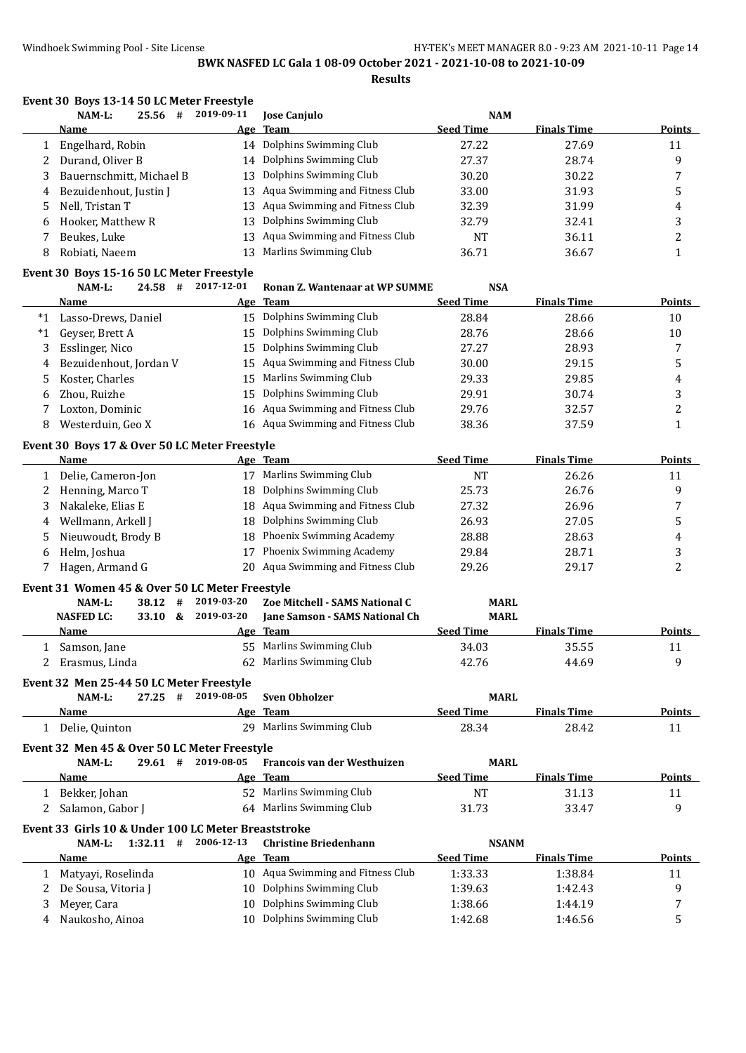**Results**

|         | Event 30 Boys 13-14 50 LC Meter Freestyle<br>25.56 # | 2019-09-11         |                                       |                                |                    |                |
|---------|------------------------------------------------------|--------------------|---------------------------------------|--------------------------------|--------------------|----------------|
|         | NAM-L:<br>Name                                       | Age                | Jose Canjulo<br><b>Team</b>           | <b>NAM</b><br><b>Seed Time</b> | <b>Finals Time</b> | <b>Points</b>  |
| 1       | Engelhard, Robin                                     |                    | 14 Dolphins Swimming Club             | 27.22                          | 27.69              | 11             |
| 2       | Durand, Oliver B                                     | 14                 | Dolphins Swimming Club                | 27.37                          | 28.74              | 9              |
| 3       | Bauernschmitt, Michael B                             | 13                 | Dolphins Swimming Club                | 30.20                          | 30.22              | 7              |
|         | Bezuidenhout, Justin J                               | 13                 | Aqua Swimming and Fitness Club        | 33.00                          | 31.93              | 5              |
| 4<br>5  | Nell, Tristan T                                      | 13                 | Aqua Swimming and Fitness Club        | 32.39                          | 31.99              | 4              |
|         |                                                      | 13                 | Dolphins Swimming Club                |                                |                    | 3              |
| 6       | Hooker, Matthew R                                    |                    | Aqua Swimming and Fitness Club        | 32.79                          | 32.41              | $\overline{c}$ |
| 7<br>8  | Beukes, Luke<br>Robiati, Naeem                       | 13<br>13           | Marlins Swimming Club                 | <b>NT</b><br>36.71             | 36.11<br>36.67     | $\mathbf{1}$   |
|         | Event 30 Boys 15-16 50 LC Meter Freestyle            |                    |                                       |                                |                    |                |
|         | NAM-L:<br>$24.58$ #                                  | 2017-12-01         | Ronan Z. Wantenaar at WP SUMME        | <b>NSA</b>                     |                    |                |
|         | Name                                                 |                    | Age Team                              | <b>Seed Time</b>               | <b>Finals Time</b> | <b>Points</b>  |
|         | *1 Lasso-Drews, Daniel                               |                    | 15 Dolphins Swimming Club             | 28.84                          | 28.66              | 10             |
| $*_{1}$ | Geyser, Brett A                                      | 15                 | Dolphins Swimming Club                | 28.76                          | 28.66              | 10             |
| 3       | Esslinger, Nico                                      | 15                 | Dolphins Swimming Club                | 27.27                          | 28.93              | 7              |
|         | Bezuidenhout, Jordan V                               | 15                 | Aqua Swimming and Fitness Club        | 30.00                          | 29.15              | 5              |
| 4       | Koster, Charles                                      | 15                 | Marlins Swimming Club                 | 29.33                          | 29.85              | 4              |
| 5       |                                                      |                    | Dolphins Swimming Club                |                                |                    |                |
| 6       | Zhou, Ruizhe                                         | 15                 |                                       | 29.91                          | 30.74              | 3              |
| 7       | Loxton, Dominic                                      | 16                 | Aqua Swimming and Fitness Club        | 29.76                          | 32.57              | $\overline{c}$ |
| 8       | Westerduin, Geo X                                    | 16                 | Aqua Swimming and Fitness Club        | 38.36                          | 37.59              | $\mathbf{1}$   |
|         | Event 30 Boys 17 & Over 50 LC Meter Freestyle        |                    |                                       |                                |                    |                |
|         | <b>Name</b>                                          |                    | Age Team                              | <b>Seed Time</b>               | <b>Finals Time</b> | Points         |
| 1       | Delie, Cameron-Jon                                   |                    | 17 Marlins Swimming Club              | <b>NT</b>                      | 26.26              | 11             |
| 2       | Henning, Marco T                                     | 18                 | Dolphins Swimming Club                | 25.73                          | 26.76              | 9              |
| 3       | Nakaleke, Elias E                                    | 18                 | Aqua Swimming and Fitness Club        | 27.32                          | 26.96              | 7              |
| 4       | Wellmann, Arkell J                                   | 18                 | Dolphins Swimming Club                | 26.93                          | 27.05              | 5              |
| 5       | Nieuwoudt, Brody B                                   | 18                 | Phoenix Swimming Academy              | 28.88                          | 28.63              | 4              |
| 6       | Helm, Joshua                                         | 17                 | Phoenix Swimming Academy              | 29.84                          | 28.71              | 3              |
| 7       | Hagen, Armand G                                      | 20                 | Aqua Swimming and Fitness Club        | 29.26                          | 29.17              | $\overline{c}$ |
|         | Event 31 Women 45 & Over 50 LC Meter Freestyle       |                    |                                       |                                |                    |                |
|         | NAM-L:<br>38.12<br>#                                 | 2019-03-20         | Zoe Mitchell - SAMS National C        | <b>MARL</b>                    |                    |                |
|         | 33.10 &<br><b>NASFED LC:</b>                         | 2019-03-20         | <b>Iane Samson - SAMS National Ch</b> | <b>MARL</b>                    |                    |                |
|         | <u>Name</u>                                          |                    | Age Team                              | <b>Seed Time</b>               | <b>Finals Time</b> | Points         |
|         | 1 Samson, Jane                                       |                    | 55 Marlins Swimming Club              | 34.03                          | 35.55              | 11             |
| 2       | Erasmus, Linda                                       |                    | 62 Marlins Swimming Club              | 42.76                          | 44.69              | 9              |
|         | Event 32 Men 25-44 50 LC Meter Freestyle             |                    |                                       |                                |                    |                |
|         | NAM-L:                                               | 27.25 # 2019-08-05 | <b>Sven Obholzer</b>                  | <b>MARL</b>                    |                    |                |
|         | Name                                                 |                    | Age Team                              | <b>Seed Time</b>               | <b>Finals Time</b> | <b>Points</b>  |
|         | 1 Delie, Quinton                                     |                    | 29 Marlins Swimming Club              | 28.34                          | 28.42              | 11             |
|         | Event 32 Men 45 & Over 50 LC Meter Freestyle         |                    |                                       |                                |                    |                |
|         | 29.61#<br>NAM-L:                                     | 2019-08-05         | Francois van der Westhuizen           | <b>MARL</b>                    |                    |                |
|         | Name                                                 |                    | Age Team                              | <b>Seed Time</b>               | <b>Finals Time</b> | <b>Points</b>  |
| 1       | Bekker, Johan                                        |                    | 52 Marlins Swimming Club              | <b>NT</b>                      | 31.13              | 11             |
| 2       | Salamon, Gabor J                                     |                    | 64 Marlins Swimming Club              | 31.73                          | 33.47              | 9              |
|         | Event 33 Girls 10 & Under 100 LC Meter Breaststroke  |                    |                                       |                                |                    |                |
|         | $1:32.11$ #<br>NAM-L:                                | 2006-12-13         | <b>Christine Briedenhann</b>          | <b>NSANM</b>                   |                    |                |
|         | Name                                                 |                    | Age Team                              | <b>Seed Time</b>               | <b>Finals Time</b> | <b>Points</b>  |
|         | 1 Matyayi, Roselinda                                 |                    | 10 Aqua Swimming and Fitness Club     | 1:33.33                        | 1:38.84            | 11             |
| 2       | De Sousa, Vitoria J                                  |                    | 10 Dolphins Swimming Club             | 1:39.63                        | 1:42.43            | 9              |
| 3       | Meyer, Cara                                          | 10                 | Dolphins Swimming Club                | 1:38.66                        | 1:44.19            | 7              |
| 4       | Naukosho, Ainoa                                      |                    | 10 Dolphins Swimming Club             | 1:42.68                        | 1:46.56            | 5              |
|         |                                                      |                    |                                       |                                |                    |                |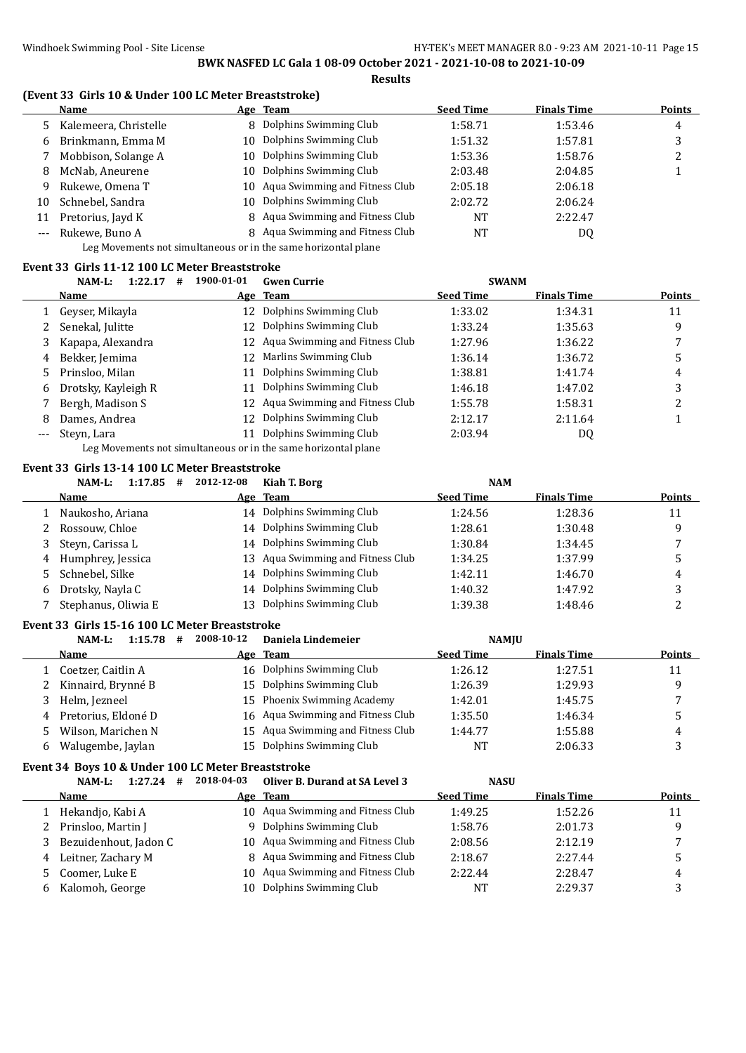#### **(Event 33 Girls 10 & Under 100 LC Meter Breaststroke)**

|       | <b>Name</b>           |     | Age Team                          | <b>Seed Time</b> | <b>Finals Time</b> | <b>Points</b> |
|-------|-----------------------|-----|-----------------------------------|------------------|--------------------|---------------|
|       | Kalemeera, Christelle |     | 8 Dolphins Swimming Club          | 1:58.71          | 1:53.46            | 4             |
| 6     | Brinkmann, Emma M     | 10. | Dolphins Swimming Club            | 1:51.32          | 1:57.81            |               |
|       | Mobbison, Solange A   | 10. | Dolphins Swimming Club            | 1:53.36          | 1:58.76            | ∠             |
| 8     | McNab, Aneurene       | 10. | Dolphins Swimming Club            | 2:03.48          | 2:04.85            |               |
| 9     | Rukewe, Omena T       |     | 10 Aqua Swimming and Fitness Club | 2:05.18          | 2:06.18            |               |
| 10    | Schnebel, Sandra      | 10. | Dolphins Swimming Club            | 2:02.72          | 2:06.24            |               |
| 11    | Pretorius, Jayd K     |     | 8 Aqua Swimming and Fitness Club  | <b>NT</b>        | 2:22.47            |               |
| $---$ | Rukewe, Buno A        |     | 8 Aqua Swimming and Fitness Club  | NT               | DQ                 |               |
|       |                       |     |                                   |                  |                    |               |

Leg Movements not simultaneous or in the same horizontal plane

#### **Event 33 Girls 11-12 100 LC Meter Breaststroke**

|     | NAM-L:<br>1:22.17   | 1900-01-01<br># | <b>Gwen Currie</b>                | <b>SWANM</b>     |                    |        |
|-----|---------------------|-----------------|-----------------------------------|------------------|--------------------|--------|
|     | <b>Name</b>         |                 | Age Team                          | <b>Seed Time</b> | <b>Finals Time</b> | Points |
|     | Geyser, Mikayla     |                 | 12 Dolphins Swimming Club         | 1:33.02          | 1:34.31            | 11     |
| 2   | Senekal, Julitte    |                 | 12 Dolphins Swimming Club         | 1:33.24          | 1:35.63            | 9      |
|     | Kapapa, Alexandra   |                 | 12 Agua Swimming and Fitness Club | 1:27.96          | 1:36.22            |        |
| 4   | Bekker, Jemima      |                 | 12 Marlins Swimming Club          | 1:36.14          | 1:36.72            | 5      |
|     | Prinsloo, Milan     |                 | 11 Dolphins Swimming Club         | 1:38.81          | 1:41.74            | 4      |
| 6   | Drotsky, Kayleigh R |                 | 11 Dolphins Swimming Club         | 1:46.18          | 1:47.02            | 3      |
|     | Bergh, Madison S    |                 | 12 Aqua Swimming and Fitness Club | 1:55.78          | 1:58.31            |        |
| 8   | Dames, Andrea       |                 | 12 Dolphins Swimming Club         | 2:12.17          | 2:11.64            |        |
| --- | Steyn, Lara         | 11              | Dolphins Swimming Club            | 2:03.94          | DQ                 |        |
|     |                     |                 |                                   |                  |                    |        |

Leg Movements not simultaneous or in the same horizontal plane

### **Event 33 Girls 13-14 100 LC Meter Breaststroke**

|    | $1:17.85$ #<br>NAM-L: | 2012-12-08 | Kiah T. Borg                      | <b>NAM</b>       |                    |        |
|----|-----------------------|------------|-----------------------------------|------------------|--------------------|--------|
|    | <b>Name</b>           |            | Age Team                          | <b>Seed Time</b> | <b>Finals Time</b> | Points |
|    | Naukosho, Ariana      |            | 14 Dolphins Swimming Club         | 1:24.56          | 1:28.36            | 11     |
|    | 2 Rossouw, Chloe      |            | 14 Dolphins Swimming Club         | 1:28.61          | 1:30.48            | q      |
|    | Steyn, Carissa L      |            | 14 Dolphins Swimming Club         | 1:30.84          | 1:34.45            |        |
|    | 4 Humphrey, Jessica   |            | 13 Agua Swimming and Fitness Club | 1:34.25          | 1:37.99            |        |
| 5. | Schnebel, Silke       |            | 14 Dolphins Swimming Club         | 1:42.11          | 1:46.70            | 4      |
| 6  | Drotsky, Nayla C      | 14         | Dolphins Swimming Club            | 1:40.32          | 1:47.92            | 3      |
|    | Stephanus, Oliwia E   | 13         | Dolphins Swimming Club            | 1:39.38          | 1:48.46            |        |

#### **Event 33 Girls 15-16 100 LC Meter Breaststroke**

|   | 1:15.78<br>NAM-L:<br># | 2008-10-12 | Daniela Lindemeier                | <b>NAMIU</b>     |                    |               |
|---|------------------------|------------|-----------------------------------|------------------|--------------------|---------------|
|   | <b>Name</b>            |            | Age Team                          | <b>Seed Time</b> | <b>Finals Time</b> | <b>Points</b> |
|   | Coetzer, Caitlin A     |            | 16 Dolphins Swimming Club         | 1:26.12          | 1:27.51            | 11            |
|   | Kinnaird, Brynné B     |            | 15 Dolphins Swimming Club         | 1:26.39          | 1:29.93            | a             |
|   | Helm, Jezneel          |            | 15 Phoenix Swimming Academy       | 1:42.01          | 1:45.75            | п,            |
| 4 | Pretorius, Eldoné D    |            | 16 Aqua Swimming and Fitness Club | 1:35.50          | 1:46.34            | J             |
| 5 | Wilson, Marichen N     |            | 15 Aqua Swimming and Fitness Club | 1:44.77          | 1:55.88            | 4             |
|   | Walugembe, Jaylan      | 15.        | Dolphins Swimming Club            | <b>NT</b>        | 2:06.33            |               |

# **Event 34 Boys 10 & Under 100 LC Meter Breaststroke**

|    | 1:27.24<br>NAM-L:<br># | 2018-04-03 | Oliver B. Durand at SA Level 3    | <b>NASU</b>      |                    |               |
|----|------------------------|------------|-----------------------------------|------------------|--------------------|---------------|
|    | Name                   |            | Age Team                          | <b>Seed Time</b> | <b>Finals Time</b> | <b>Points</b> |
|    | Hekandjo, Kabi A       |            | 10 Aqua Swimming and Fitness Club | 1:49.25          | 1:52.26            | 11            |
|    | Prinsloo, Martin J     | 9          | Dolphins Swimming Club            | 1:58.76          | 2:01.73            | q             |
|    | Bezuidenhout, Jadon C  |            | 10 Aqua Swimming and Fitness Club | 2:08.56          | 2:12.19            | 7             |
| 4  | Leitner, Zachary M     |            | 8 Aqua Swimming and Fitness Club  | 2:18.67          | 2:27.44            |               |
| 5. | Coomer, Luke E         |            | 10 Aqua Swimming and Fitness Club | 2:22.44          | 2:28.47            | 4             |
| h  | Kalomoh, George        | 10         | Dolphins Swimming Club            | <b>NT</b>        | 2:29.37            |               |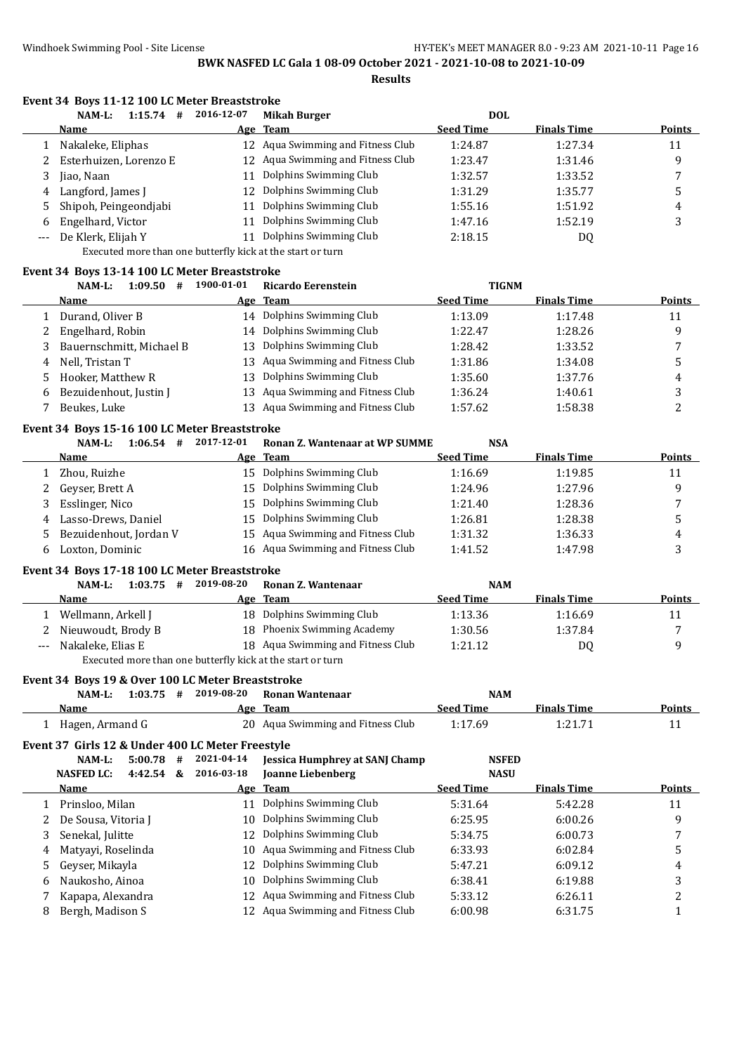### **Event 34 Boys 11-12 100 LC Meter Breaststroke**

|    | 1:15.74<br>NAM-L:<br>#   | 2016-12-07 | <b>Mikah Burger</b>               | <b>DOL</b>       |                    |        |
|----|--------------------------|------------|-----------------------------------|------------------|--------------------|--------|
|    | Name                     |            | Age Team                          | <b>Seed Time</b> | <b>Finals Time</b> | Points |
|    | Nakaleke, Eliphas        |            | 12 Aqua Swimming and Fitness Club | 1:24.87          | 1:27.34            | 11     |
|    | 2 Esterhuizen, Lorenzo E |            | 12 Aqua Swimming and Fitness Club | 1:23.47          | 1:31.46            | q      |
| 3. | Jiao, Naan               |            | Dolphins Swimming Club            | 1:32.57          | 1:33.52            |        |
|    | 4 Langford, James J      | 12         | Dolphins Swimming Club            | 1:31.29          | 1:35.77            |        |
|    | 5 Shipoh, Peingeondjabi  | 11         | Dolphins Swimming Club            | 1:55.16          | 1:51.92            | 4      |
| 6  | Engelhard, Victor        |            | Dolphins Swimming Club            | 1:47.16          | 1:52.19            | . .    |
|    | --- De Klerk, Elijah Y   | 11         | Dolphins Swimming Club            | 2:18.15          | DQ                 |        |

Executed more than one butterfly kick at the start or turn

#### **Event 34 Boys 13-14 100 LC Meter Breaststroke**

|    | 1:09.50<br>NAM-L:<br>#   | 1900-01-01 | Ricardo Eerenstein                | <b>TIGNM</b>     |                    |        |
|----|--------------------------|------------|-----------------------------------|------------------|--------------------|--------|
|    | <b>Name</b>              |            | Age Team                          | <b>Seed Time</b> | <b>Finals Time</b> | Points |
|    | Durand, Oliver B         | 14         | Dolphins Swimming Club            | 1:13.09          | 1:17.48            | 11     |
| 2  | Engelhard, Robin         |            | 14 Dolphins Swimming Club         | 1:22.47          | 1:28.26            | q      |
|    | Bauernschmitt, Michael B | 13.        | Dolphins Swimming Club            | 1:28.42          | 1:33.52            |        |
| 4  | Nell, Tristan T          |            | 13 Aqua Swimming and Fitness Club | 1:31.86          | 1:34.08            |        |
| 5. | Hooker, Matthew R        | 13.        | Dolphins Swimming Club            | 1:35.60          | 1:37.76            | 4      |
| 6  | Bezuidenhout, Justin J   |            | 13 Aqua Swimming and Fitness Club | 1:36.24          | 1:40.61            |        |
|    | Beukes, Luke             |            | Aqua Swimming and Fitness Club    | 1:57.62          | 1:58.38            |        |

#### **Event 34 Boys 15-16 100 LC Meter Breaststroke**

| NAM-L:<br>1:06.54<br>#   | 2017-12-01 | Ronan Z. Wantenaar at WP SUMME    | <b>NSA</b>       |                    |               |
|--------------------------|------------|-----------------------------------|------------------|--------------------|---------------|
| <b>Name</b>              |            | Age Team                          | <b>Seed Time</b> | <b>Finals Time</b> | <b>Points</b> |
| Zhou, Ruizhe             |            | 15 Dolphins Swimming Club         | 1:16.69          | 1:19.85            | 11            |
| 2 Geyser, Brett A        | 15         | Dolphins Swimming Club            | 1:24.96          | 1:27.96            | q             |
| Esslinger, Nico<br>3     | 15.        | Dolphins Swimming Club            | 1:21.40          | 1:28.36            |               |
| Lasso-Drews, Daniel<br>4 |            | 15 Dolphins Swimming Club         | 1:26.81          | 1:28.38            |               |
| 5 Bezuidenhout, Jordan V |            | 15 Aqua Swimming and Fitness Club | 1:31.32          | 1:36.33            | 4             |
| Loxton, Dominic<br>b.    |            | 16 Aqua Swimming and Fitness Club | 1:41.52          | 1:47.98            |               |
|                          |            |                                   |                  |                    |               |

#### **Event 34 Boys 17-18 100 LC Meter Breaststroke**

|                                                            | 1:03.75<br>NAM-L:<br># | 2019-08-20 | Ronan Z. Wantenaar                | <b>NAM</b>       |                    |               |  |
|------------------------------------------------------------|------------------------|------------|-----------------------------------|------------------|--------------------|---------------|--|
|                                                            | <b>Name</b>            |            | Age Team                          | <b>Seed Time</b> | <b>Finals Time</b> | <b>Points</b> |  |
|                                                            | Wellmann, Arkell J     |            | 18 Dolphins Swimming Club         | 1:13.36          | 1:16.69            | 11            |  |
|                                                            | Nieuwoudt, Brody B     |            | 18 Phoenix Swimming Academy       | 1:30.56          | 1:37.84            |               |  |
| $---$                                                      | Nakaleke. Elias E      |            | 18 Agua Swimming and Fitness Club | 1:21.12          | D0                 | a             |  |
| Executed more than one butterfly kick at the start or turn |                        |            |                                   |                  |                    |               |  |

#### **Event 34 Boys 19 & Over 100 LC Meter Breaststroke**

|                 |  | NAM-L: 1:03.75 # 2019-08-20 Ronan Wantenaar | NAM              |                    |               |
|-----------------|--|---------------------------------------------|------------------|--------------------|---------------|
| Name            |  | Age Team                                    | <b>Seed Time</b> | <b>Finals Time</b> | <b>Points</b> |
| Hagen, Armand G |  | 20 Agua Swimming and Fitness Club           | 1:17.69          | 1:21.71            |               |

#### **Event 37 Girls 12 & Under 400 LC Meter Freestyle**

|    | 5:00.78<br>NAM-L:<br>#            | 2021-04-14 | <b>Jessica Humphrey at SANJ Champ</b> | <b>NSFED</b>     |                    |               |
|----|-----------------------------------|------------|---------------------------------------|------------------|--------------------|---------------|
|    | <b>NASFED LC:</b><br>4:42.54<br>& | 2016-03-18 | <b>Joanne Liebenberg</b>              | <b>NASU</b>      |                    |               |
|    | <b>Name</b>                       |            | Age Team                              | <b>Seed Time</b> | <b>Finals Time</b> | <b>Points</b> |
|    | Prinsloo, Milan                   | 11         | Dolphins Swimming Club                | 5:31.64          | 5:42.28            | 11            |
|    | De Sousa, Vitoria J               | 10.        | Dolphins Swimming Club                | 6:25.95          | 6:00.26            | 9             |
|    | Senekal, Julitte<br>3             | 12         | Dolphins Swimming Club                | 5:34.75          | 6:00.73            |               |
| 4  | Matyayi, Roselinda                |            | 10 Agua Swimming and Fitness Club     | 6:33.93          | 6:02.84            | 5             |
|    | 5 Geyser, Mikayla                 | 12         | Dolphins Swimming Club                | 5:47.21          | 6:09.12            | 4             |
| 6. | Naukosho, Ainoa                   | 10         | Dolphins Swimming Club                | 6:38.41          | 6:19.88            | 3             |
|    | Kapapa, Alexandra                 | 12         | Aqua Swimming and Fitness Club        | 5:33.12          | 6:26.11            | ∠             |
| 8  | Bergh, Madison S                  | 12         | Aqua Swimming and Fitness Club        | 6:00.98          | 6:31.75            |               |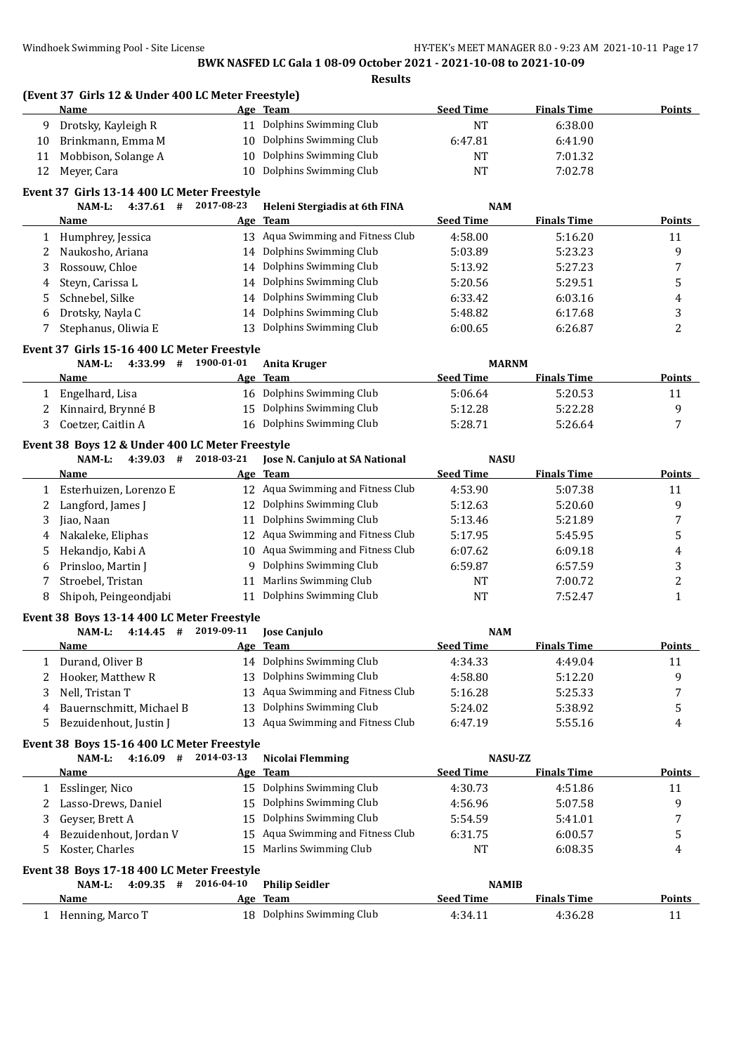|    | (Event 37 Girls 12 & Under 400 LC Meter Freestyle)<br>Name |            | Age Team                             | <b>Seed Time</b> | <b>Finals Time</b> | <b>Points</b>           |
|----|------------------------------------------------------------|------------|--------------------------------------|------------------|--------------------|-------------------------|
| 9  | Drotsky, Kayleigh R                                        |            | 11 Dolphins Swimming Club            | NT               | 6:38.00            |                         |
| 10 | Brinkmann, Emma M                                          | 10         | Dolphins Swimming Club               | 6:47.81          | 6:41.90            |                         |
| 11 | Mobbison, Solange A                                        | 10         | Dolphins Swimming Club               | NT               | 7:01.32            |                         |
| 12 | Meyer, Cara                                                | 10         | Dolphins Swimming Club               | NT               | 7:02.78            |                         |
|    | Event 37 Girls 13-14 400 LC Meter Freestyle                |            |                                      |                  |                    |                         |
|    | 4:37.61<br>#<br>NAM-L:                                     | 2017-08-23 | Heleni Stergiadis at 6th FINA        | <b>NAM</b>       |                    |                         |
|    | Name                                                       |            | Age Team                             | <b>Seed Time</b> | <b>Finals Time</b> | Points                  |
|    | 1 Humphrey, Jessica                                        |            | 13 Aqua Swimming and Fitness Club    | 4:58.00          | 5:16.20            | 11                      |
| 2  | Naukosho, Ariana                                           |            | 14 Dolphins Swimming Club            | 5:03.89          | 5:23.23            | 9                       |
| 3  | Rossouw, Chloe                                             |            | 14 Dolphins Swimming Club            | 5:13.92          | 5:27.23            | 7                       |
| 4  | Steyn, Carissa L                                           | 14         | Dolphins Swimming Club               | 5:20.56          | 5:29.51            | 5                       |
| 5  | Schnebel, Silke                                            | 14         | Dolphins Swimming Club               | 6:33.42          | 6:03.16            | 4                       |
| 6  | Drotsky, Nayla C                                           | 14         | Dolphins Swimming Club               | 5:48.82          | 6:17.68            | 3                       |
| 7  | Stephanus, Oliwia E                                        |            | 13 Dolphins Swimming Club            | 6:00.65          | 6:26.87            | 2                       |
|    | Event 37 Girls 15-16 400 LC Meter Freestyle                |            |                                      |                  |                    |                         |
|    | 4:33.99 #<br>NAM-L:                                        | 1900-01-01 | <b>Anita Kruger</b>                  | <b>MARNM</b>     |                    |                         |
|    | Name                                                       | Age        | <b>Team</b>                          | <b>Seed Time</b> | <b>Finals Time</b> | <b>Points</b>           |
| 1  | Engelhard, Lisa                                            |            | 16 Dolphins Swimming Club            | 5:06.64          | 5:20.53            | 11                      |
| 2  | Kinnaird, Brynné B                                         | 15         | Dolphins Swimming Club               | 5:12.28          | 5:22.28            | 9                       |
| 3  | Coetzer, Caitlin A                                         | 16         | Dolphins Swimming Club               | 5:28.71          | 5:26.64            | 7                       |
|    | Event 38 Boys 12 & Under 400 LC Meter Freestyle            |            |                                      |                  |                    |                         |
|    | NAM-L:<br>$4:39.03$ #                                      | 2018-03-21 | Jose N. Canjulo at SA National       | <b>NASU</b>      |                    |                         |
|    | Name                                                       |            | Age Team                             | <b>Seed Time</b> | <b>Finals Time</b> | <b>Points</b>           |
|    | 1 Esterhuizen, Lorenzo E                                   |            | 12 Aqua Swimming and Fitness Club    | 4:53.90          | 5:07.38            | 11                      |
| 2  | Langford, James J                                          | 12         | Dolphins Swimming Club               | 5:12.63          | 5:20.60            | 9                       |
| 3  | Jiao, Naan                                                 | 11         | Dolphins Swimming Club               | 5:13.46          | 5:21.89            | 7                       |
| 4  | Nakaleke, Eliphas                                          | 12         | Aqua Swimming and Fitness Club       | 5:17.95          | 5:45.95            | 5                       |
| 5  | Hekandjo, Kabi A                                           |            | 10 Aqua Swimming and Fitness Club    | 6:07.62          | 6:09.18            | $\overline{\mathbf{4}}$ |
| 6  | Prinsloo, Martin J                                         | 9          | Dolphins Swimming Club               | 6:59.87          | 6:57.59            | 3                       |
| 7  | Stroebel, Tristan                                          | 11         | Marlins Swimming Club                | NT               | 7:00.72            | $\overline{c}$          |
| 8  | Shipoh, Peingeondjabi                                      | 11         | Dolphins Swimming Club               | NT               | 7:52.47            | 1                       |
|    | Event 38 Boys 13-14 400 LC Meter Freestyle                 |            |                                      |                  |                    |                         |
|    | $4:14.45$ #<br>NAM-L:                                      | 2019-09-11 | <b>Jose Canjulo</b>                  | <b>NAM</b>       |                    |                         |
|    | Name                                                       |            | Age Team                             | <b>Seed Time</b> | <b>Finals Time</b> | Points                  |
| 1  | Durand, Oliver B                                           |            | 14 Dolphins Swimming Club            | 4:34.33          | 4:49.04            | 11                      |
| 2  | Hooker, Matthew R                                          | 13         | Dolphins Swimming Club               | 4:58.80          | 5:12.20            | 9                       |
| 3  | Nell, Tristan T                                            | 13         | Aqua Swimming and Fitness Club       | 5:16.28          | 5:25.33            | 7                       |
| 4  | Bauernschmitt, Michael B                                   | 13         | Dolphins Swimming Club               | 5:24.02          | 5:38.92            | 5                       |
| 5  | Bezuidenhout, Justin J                                     |            | 13 Aqua Swimming and Fitness Club    | 6:47.19          | 5:55.16            | 4                       |
|    | Event 38 Boys 15-16 400 LC Meter Freestyle                 |            |                                      |                  |                    |                         |
|    | $4:16.09$ #<br>NAM-L:                                      | 2014-03-13 | Nicolai Flemming                     | <b>NASU-ZZ</b>   |                    |                         |
|    | Name                                                       |            | Age Team                             | <b>Seed Time</b> | <b>Finals Time</b> | <b>Points</b>           |
| 1  | Esslinger, Nico                                            |            | 15 Dolphins Swimming Club            | 4:30.73          | 4:51.86            | 11                      |
| 2  | Lasso-Drews, Daniel                                        | 15         | Dolphins Swimming Club               | 4:56.96          | 5:07.58            | 9                       |
| 3  | Geyser, Brett A                                            | 15         | Dolphins Swimming Club               | 5:54.59          | 5:41.01            | 7                       |
| 4  | Bezuidenhout, Jordan V                                     | 15         | Aqua Swimming and Fitness Club       | 6:31.75          | 6:00.57            | 5                       |
| 5  | Koster, Charles                                            | 15         | Marlins Swimming Club                | NT               | 6:08.35            | 4                       |
|    | Event 38 Boys 17-18 400 LC Meter Freestyle                 |            |                                      |                  |                    |                         |
|    |                                                            |            |                                      |                  |                    |                         |
|    | NAM-L:<br>$4:09.35$ #                                      | 2016-04-10 |                                      | <b>NAMIB</b>     |                    |                         |
|    | <u>Name</u>                                                | <u>Age</u> | <b>Philip Seidler</b><br><b>Team</b> | <b>Seed Time</b> | <b>Finals Time</b> | <b>Points</b>           |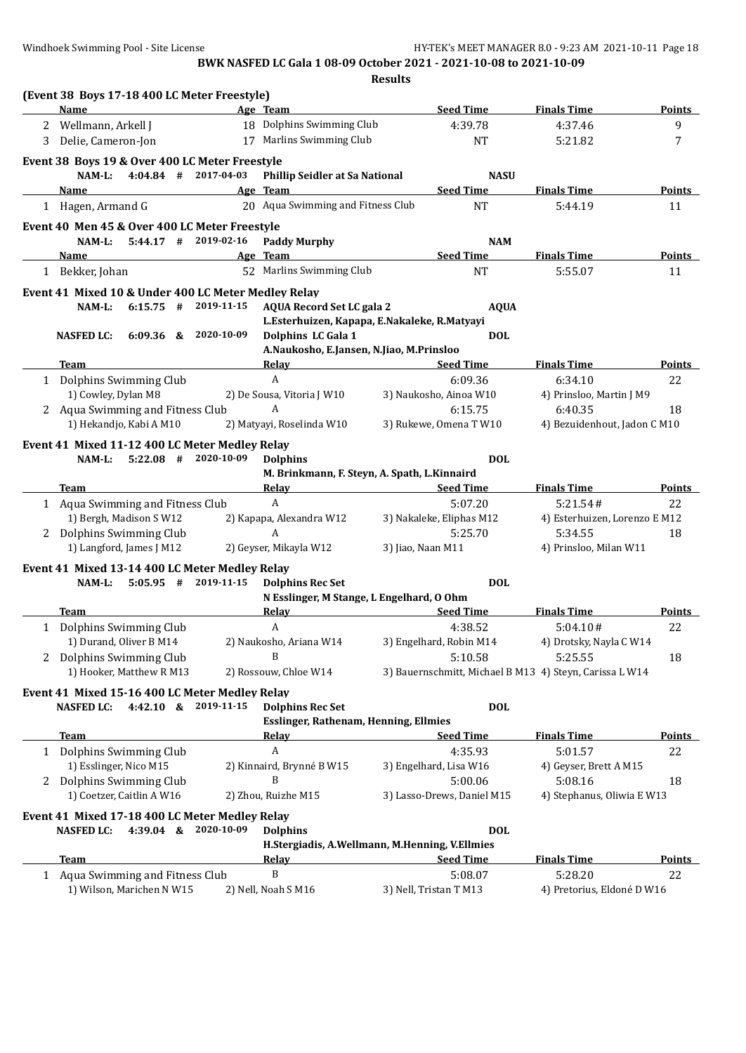|   |                                                                         |            |                                                                         | <b>Results</b>    |                            |                                                         |               |
|---|-------------------------------------------------------------------------|------------|-------------------------------------------------------------------------|-------------------|----------------------------|---------------------------------------------------------|---------------|
|   | (Event 38 Boys 17-18 400 LC Meter Freestyle)                            |            |                                                                         |                   |                            |                                                         |               |
|   | Name                                                                    |            | Age Team                                                                |                   | <b>Seed Time</b>           | <b>Finals Time</b>                                      | <b>Points</b> |
| 2 | Wellmann, Arkell J                                                      |            | 18 Dolphins Swimming Club                                               |                   | 4:39.78                    | 4:37.46                                                 | 9             |
| 3 | Delie, Cameron-Jon                                                      |            | 17 Marlins Swimming Club                                                |                   | <b>NT</b>                  | 5:21.82                                                 | 7             |
|   | Event 38 Boys 19 & Over 400 LC Meter Freestyle                          |            |                                                                         |                   |                            |                                                         |               |
|   | $4:04.84$ # 2017-04-03<br>NAM-L:                                        |            | <b>Phillip Seidler at Sa National</b>                                   |                   | <b>NASU</b>                |                                                         |               |
|   | Name                                                                    |            | Age Team                                                                |                   | <b>Seed Time</b>           | <b>Finals Time</b>                                      | Points        |
|   | 1 Hagen, Armand G                                                       |            | 20 Aqua Swimming and Fitness Club                                       |                   | <b>NT</b>                  | 5:44.19                                                 | 11            |
|   | Event 40 Men 45 & Over 400 LC Meter Freestyle                           |            |                                                                         |                   |                            |                                                         |               |
|   | $5:44.17$ # 2019-02-16<br>$NAM-L$ :                                     |            | <b>Paddy Murphy</b>                                                     |                   | <b>NAM</b>                 |                                                         |               |
|   | <b>Name</b>                                                             |            | Age Team                                                                |                   | <b>Seed Time</b>           | <b>Finals Time</b>                                      | <b>Points</b> |
|   | 1 Bekker, Johan                                                         |            | 52 Marlins Swimming Club                                                |                   | <b>NT</b>                  | 5:55.07                                                 | 11            |
|   | Event 41 Mixed 10 & Under 400 LC Meter Medley Relay                     |            |                                                                         |                   |                            |                                                         |               |
|   | $6:15.75$ #<br>NAM-L:                                                   | 2019-11-15 | <b>AQUA Record Set LC gala 2</b>                                        |                   | <b>AQUA</b>                |                                                         |               |
|   |                                                                         |            | L.Esterhuizen, Kapapa, E.Nakaleke, R.Matyayi                            |                   |                            |                                                         |               |
|   | 6:09.36 & 2020-10-09<br><b>NASFED LC:</b>                               |            | Dolphins LC Gala 1                                                      |                   | <b>DOL</b>                 |                                                         |               |
|   |                                                                         |            | A.Naukosho, E.Jansen, N.Jiao, M.Prinsloo                                |                   |                            |                                                         |               |
|   | Team                                                                    |            | <b>Relay</b>                                                            |                   | <b>Seed Time</b>           | <b>Finals Time</b>                                      | <b>Points</b> |
|   | 1 Dolphins Swimming Club                                                |            | $\mathbf{A}$                                                            |                   | 6:09.36                    | 6:34.10                                                 | 22            |
|   | 1) Cowley, Dylan M8                                                     |            | 2) De Sousa, Vitoria J W10                                              |                   | 3) Naukosho, Ainoa W10     | 4) Prinsloo, Martin J M9                                |               |
|   | 2 Aqua Swimming and Fitness Club                                        |            | A                                                                       |                   | 6:15.75                    | 6:40.35                                                 | 18            |
|   | 1) Hekandjo, Kabi A M10                                                 |            | 2) Matyayi, Roselinda W10                                               |                   | 3) Rukewe, Omena T W10     | 4) Bezuidenhout, Jadon C M10                            |               |
|   |                                                                         |            |                                                                         |                   |                            |                                                         |               |
|   | Event 41 Mixed 11-12 400 LC Meter Medley Relay<br>$5:22.08$ #<br>NAM-L: | 2020-10-09 | <b>Dolphins</b>                                                         |                   | <b>DOL</b>                 |                                                         |               |
|   |                                                                         |            | M. Brinkmann, F. Steyn, A. Spath, L. Kinnaird                           |                   |                            |                                                         |               |
|   | Team                                                                    |            | <u>Relay</u>                                                            |                   | <b>Seed Time</b>           | <b>Finals Time</b>                                      | Points        |
|   | 1 Aqua Swimming and Fitness Club                                        |            | A                                                                       |                   | 5:07.20                    | 5:21.54#                                                | 22            |
|   | 1) Bergh, Madison S W12                                                 |            | 2) Kapapa, Alexandra W12                                                |                   | 3) Nakaleke, Eliphas M12   | 4) Esterhuizen, Lorenzo E M12                           |               |
|   | 2 Dolphins Swimming Club                                                |            | A                                                                       |                   | 5:25.70                    | 5:34.55                                                 | 18            |
|   | 1) Langford, James J M12                                                |            | 2) Geyser, Mikayla W12                                                  | 3) Jiao, Naan M11 |                            | 4) Prinsloo, Milan W11                                  |               |
|   |                                                                         |            |                                                                         |                   |                            |                                                         |               |
|   | Event 41 Mixed 13-14 400 LC Meter Medley Relay                          | 2019-11-15 |                                                                         |                   |                            |                                                         |               |
|   | $5:05.95$ #<br>NAM-L:                                                   |            | <b>Dolphins Rec Set</b><br>N Esslinger, M Stange, L Engelhard, O Ohm    |                   | <b>DOL</b>                 |                                                         |               |
|   | Team                                                                    |            | <b>Relay</b>                                                            |                   | <b>Seed Time</b>           | <b>Finals Time</b>                                      | <b>Points</b> |
| 1 | Dolphins Swimming Club                                                  |            | A                                                                       |                   | 4:38.52                    | 5:04.10#                                                | 22            |
|   | 1) Durand, Oliver B M14                                                 |            | 2) Naukosho, Ariana W14                                                 |                   | 3) Engelhard, Robin M14    | 4) Drotsky, Nayla C W14                                 |               |
| 2 | Dolphins Swimming Club                                                  |            | B                                                                       |                   | 5:10.58                    | 5:25.55                                                 | 18            |
|   | 1) Hooker, Matthew R M13                                                |            | 2) Rossouw, Chloe W14                                                   |                   |                            | 3) Bauernschmitt, Michael B M13 4) Steyn, Carissa L W14 |               |
|   |                                                                         |            |                                                                         |                   |                            |                                                         |               |
|   | Event 41 Mixed 15-16 400 LC Meter Medley Relay                          |            |                                                                         |                   |                            |                                                         |               |
|   | 4:42.10 & 2019-11-15<br><b>NASFED LC:</b>                               |            | <b>Dolphins Rec Set</b><br><b>Esslinger, Rathenam, Henning, Ellmies</b> |                   | <b>DOL</b>                 |                                                         |               |
|   | Team                                                                    |            |                                                                         |                   | <b>Seed Time</b>           | <b>Finals Time</b>                                      | <b>Points</b> |
|   | 1 Dolphins Swimming Club                                                |            | <u>Relav</u><br>A                                                       |                   | 4:35.93                    | 5:01.57                                                 | 22            |
|   | 1) Esslinger, Nico M15                                                  |            | 2) Kinnaird, Brynné B W15                                               |                   | 3) Engelhard, Lisa W16     | 4) Geyser, Brett A M15                                  |               |
|   | 2 Dolphins Swimming Club                                                |            | B                                                                       |                   | 5:00.06                    | 5:08.16                                                 | 18            |
|   | 1) Coetzer, Caitlin A W16                                               |            | 2) Zhou, Ruizhe M15                                                     |                   | 3) Lasso-Drews, Daniel M15 | 4) Stephanus, Oliwia E W13                              |               |
|   |                                                                         |            |                                                                         |                   |                            |                                                         |               |
|   | Event 41 Mixed 17-18 400 LC Meter Medley Relay                          |            |                                                                         |                   |                            |                                                         |               |
|   | <b>NASFED LC:</b><br>4:39.04 & 2020-10-09                               |            | <b>Dolphins</b>                                                         |                   | <b>DOL</b>                 |                                                         |               |
|   |                                                                         |            | H.Stergiadis, A.Wellmann, M.Henning, V.Ellmies                          |                   |                            |                                                         |               |
|   | <b>Team</b>                                                             |            | <b>Relay</b>                                                            |                   | <b>Seed Time</b>           | <b>Finals Time</b>                                      | <b>Points</b> |
|   | 1 Aqua Swimming and Fitness Club                                        |            | B                                                                       |                   | 5:08.07                    | 5:28.20                                                 | 22            |
|   | 1) Wilson, Marichen N W15                                               |            | 2) Nell, Noah S M16                                                     |                   | 3) Nell, Tristan T M13     | 4) Pretorius, Eldoné D W16                              |               |